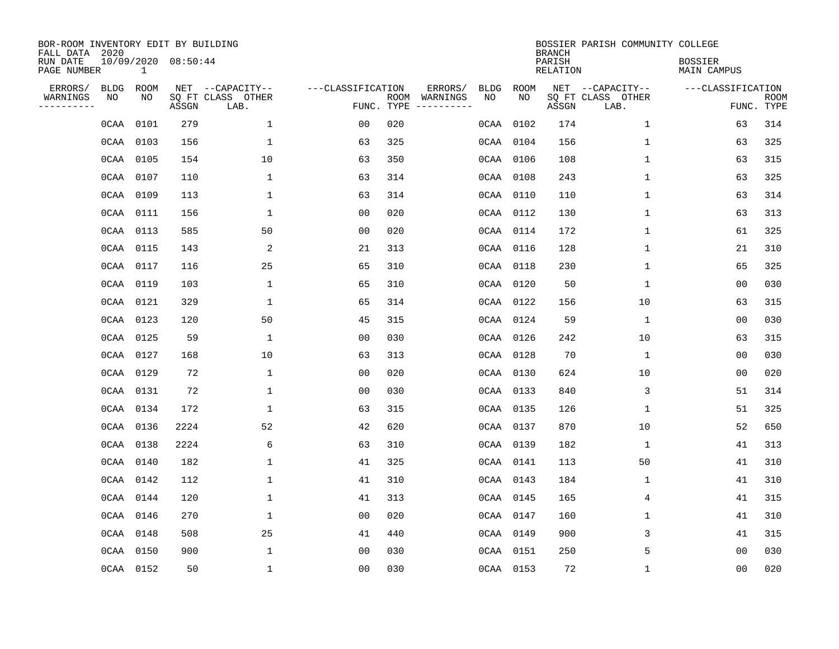| BOR-ROOM INVENTORY EDIT BY BUILDING<br>FALL DATA 2020 |           |              |                     |                           |                   |                    |          |             |             | <b>BRANCH</b>             | BOSSIER PARISH COMMUNITY COLLEGE |                               |                           |
|-------------------------------------------------------|-----------|--------------|---------------------|---------------------------|-------------------|--------------------|----------|-------------|-------------|---------------------------|----------------------------------|-------------------------------|---------------------------|
| RUN DATE<br>PAGE NUMBER                               |           | $\mathbf{1}$ | 10/09/2020 08:50:44 |                           |                   |                    |          |             |             | PARISH<br><b>RELATION</b> |                                  | <b>BOSSIER</b><br>MAIN CAMPUS |                           |
| ERRORS/                                               | BLDG      | ROOM         |                     | NET --CAPACITY--          | ---CLASSIFICATION |                    | ERRORS/  | <b>BLDG</b> | <b>ROOM</b> |                           | NET --CAPACITY--                 | ---CLASSIFICATION             |                           |
| WARNINGS<br>----------                                | ΝO        | NO           | ASSGN               | SQ FT CLASS OTHER<br>LAB. |                   | ROOM<br>FUNC. TYPE | WARNINGS | NO          | NO          | ASSGN                     | SQ FT CLASS OTHER<br>LAB.        |                               | <b>ROOM</b><br>FUNC. TYPE |
|                                                       | 0CAA      | 0101         | 279                 | 1                         | 00                | 020                |          |             | 0CAA 0102   | 174                       | 1                                | 63                            | 314                       |
|                                                       |           | 0CAA 0103    | 156                 | 1                         | 63                | 325                |          |             | 0CAA 0104   | 156                       | 1                                | 63                            | 325                       |
|                                                       | 0CAA 0105 |              | 154                 | 10                        | 63                | 350                |          |             | 0CAA 0106   | 108                       | 1                                | 63                            | 315                       |
|                                                       |           | 0CAA 0107    | 110                 | $\mathbf{1}$              | 63                | 314                |          |             | 0CAA 0108   | 243                       | 1                                | 63                            | 325                       |
|                                                       |           | 0CAA 0109    | 113                 | $\mathbf 1$               | 63                | 314                |          |             | 0CAA 0110   | 110                       | $\mathbf{1}$                     | 63                            | 314                       |
|                                                       | 0CAA 0111 |              | 156                 | $\mathbf{1}$              | 0 <sub>0</sub>    | 020                |          |             | 0CAA 0112   | 130                       | $\mathbf 1$                      | 63                            | 313                       |
|                                                       | 0CAA 0113 |              | 585                 | 50                        | 0 <sub>0</sub>    | 020                |          |             | 0CAA 0114   | 172                       | $\mathbf{1}$                     | 61                            | 325                       |
|                                                       |           | 0CAA 0115    | 143                 | 2                         | 21                | 313                |          |             | 0CAA 0116   | 128                       | $\mathbf{1}$                     | 21                            | 310                       |
|                                                       | 0CAA 0117 |              | 116                 | 25                        | 65                | 310                |          | 0CAA        | 0118        | 230                       | $\mathbf{1}$                     | 65                            | 325                       |
|                                                       | 0CAA 0119 |              | 103                 | $\mathbf{1}$              | 65                | 310                |          |             | 0CAA 0120   | 50                        | 1                                | 0 <sub>0</sub>                | 030                       |
|                                                       | 0CAA 0121 |              | 329                 | 1                         | 65                | 314                |          |             | 0CAA 0122   | 156                       | 10                               | 63                            | 315                       |
|                                                       |           | 0CAA 0123    | 120                 | 50                        | 45                | 315                |          |             | 0CAA 0124   | 59                        | $\mathbf 1$                      | 0 <sub>0</sub>                | 030                       |
|                                                       | 0CAA 0125 |              | 59                  | 1                         | 0 <sub>0</sub>    | 030                |          |             | 0CAA 0126   | 242                       | 10                               | 63                            | 315                       |
|                                                       | 0CAA 0127 |              | 168                 | 10                        | 63                | 313                |          |             | 0CAA 0128   | 70                        | 1                                | 0 <sub>0</sub>                | 030                       |
|                                                       | 0CAA 0129 |              | 72                  | $\mathbf{1}$              | 0 <sub>0</sub>    | 020                |          |             | 0CAA 0130   | 624                       | 10                               | 0 <sub>0</sub>                | 020                       |
|                                                       | 0CAA 0131 |              | 72                  | $\mathbf{1}$              | 0 <sub>0</sub>    | 030                |          |             | 0CAA 0133   | 840                       | 3                                | 51                            | 314                       |
|                                                       |           | 0CAA 0134    | 172                 | 1                         | 63                | 315                |          |             | 0CAA 0135   | 126                       | 1                                | 51                            | 325                       |
|                                                       | 0CAA 0136 |              | 2224                | 52                        | 42                | 620                |          |             | 0CAA 0137   | 870                       | 10                               | 52                            | 650                       |
|                                                       | OCAA 0138 |              | 2224                | 6                         | 63                | 310                |          |             | 0CAA 0139   | 182                       | 1                                | 41                            | 313                       |
|                                                       |           | 0CAA 0140    | 182                 | 1                         | 41                | 325                |          |             | 0CAA 0141   | 113                       | 50                               | 41                            | 310                       |
|                                                       |           | 0CAA 0142    | 112                 | 1                         | 41                | 310                |          |             | 0CAA 0143   | 184                       | 1                                | 41                            | 310                       |
|                                                       |           | 0CAA 0144    | 120                 | 1                         | 41                | 313                |          |             | 0CAA 0145   | 165                       | 4                                | 41                            | 315                       |
|                                                       |           | 0CAA 0146    | 270                 | $\mathbf{1}$              | 0 <sub>0</sub>    | 020                |          |             | 0CAA 0147   | 160                       | $\mathbf 1$                      | 41                            | 310                       |
|                                                       | 0CAA 0148 |              | 508                 | 25                        | 41                | 440                |          |             | 0CAA 0149   | 900                       | 3                                | 41                            | 315                       |
|                                                       |           | 0CAA 0150    | 900                 | $\mathbf{1}$              | 0 <sub>0</sub>    | 030                |          |             | 0CAA 0151   | 250                       | 5                                | 0 <sub>0</sub>                | 030                       |
|                                                       |           | 0CAA 0152    | 50                  | $\mathbf{1}$              | 0 <sub>0</sub>    | 030                |          |             | 0CAA 0153   | 72                        | $\mathbf 1$                      | 0 <sub>0</sub>                | 020                       |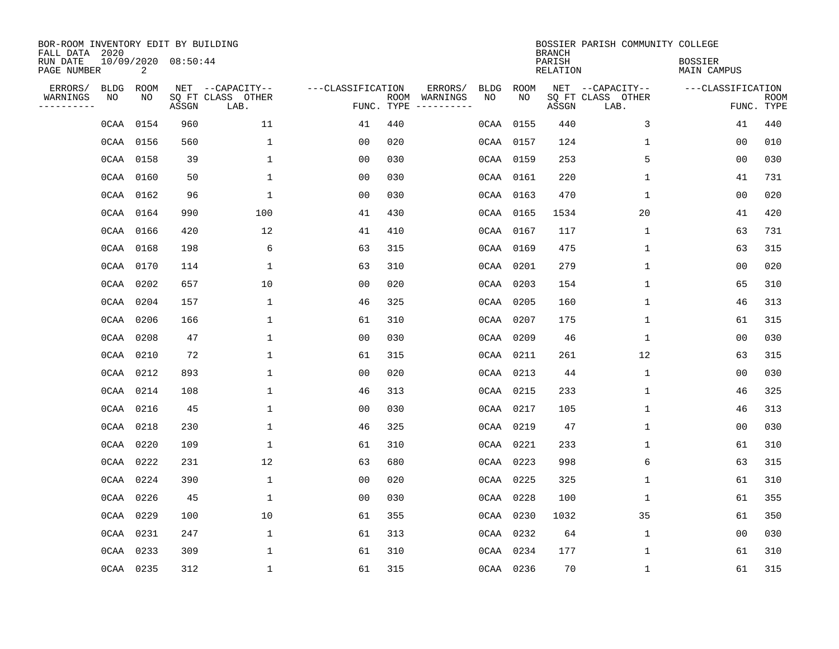| BOR-ROOM INVENTORY EDIT BY BUILDING<br>FALL DATA 2020 |                   |            |                     |                                               |                                 |     |                                                                                                                                        |                   |            | <b>BRANCH</b>      | BOSSIER PARISH COMMUNITY COLLEGE              |                               |                           |
|-------------------------------------------------------|-------------------|------------|---------------------|-----------------------------------------------|---------------------------------|-----|----------------------------------------------------------------------------------------------------------------------------------------|-------------------|------------|--------------------|-----------------------------------------------|-------------------------------|---------------------------|
| RUN DATE<br>PAGE NUMBER                               |                   | 2          | 10/09/2020 08:50:44 |                                               |                                 |     |                                                                                                                                        |                   |            | PARISH<br>RELATION |                                               | <b>BOSSIER</b><br>MAIN CAMPUS |                           |
| ERRORS/<br>WARNINGS<br>---------                      | <b>BLDG</b><br>ΝO | ROOM<br>NO | ASSGN               | NET --CAPACITY--<br>SQ FT CLASS OTHER<br>LAB. | ---CLASSIFICATION<br>FUNC. TYPE |     | ERRORS/<br>ROOM WARNINGS<br>$\begin{tabular}{ccccccccc} - & - & - & - & - & - & - & - \\ & - & - & - & - & - & - & - \\ \end{tabular}$ | <b>BLDG</b><br>NO | ROOM<br>NO | ASSGN              | NET --CAPACITY--<br>SQ FT CLASS OTHER<br>LAB. | ---CLASSIFICATION             | <b>ROOM</b><br>FUNC. TYPE |
|                                                       |                   |            |                     |                                               |                                 |     |                                                                                                                                        |                   |            |                    |                                               |                               | 440                       |
|                                                       |                   | 0CAA 0154  | 960                 | 11                                            | 41                              | 440 |                                                                                                                                        |                   | 0CAA 0155  | 440                | 3                                             | 41                            |                           |
|                                                       |                   | 0CAA 0156  | 560                 | 1                                             | 0 <sub>0</sub>                  | 020 |                                                                                                                                        |                   | 0CAA 0157  | 124                | $\mathbf 1$                                   | 0 <sub>0</sub>                | 010                       |
|                                                       | 0CAA 0158         |            | 39                  | 1                                             | 0 <sub>0</sub>                  | 030 |                                                                                                                                        |                   | 0CAA 0159  | 253                | 5                                             | 0 <sub>0</sub>                | 030                       |
|                                                       |                   | 0CAA 0160  | 50                  | $\mathbf{1}$                                  | 0 <sub>0</sub>                  | 030 |                                                                                                                                        |                   | 0CAA 0161  | 220                | $\mathbf{1}$                                  | 41                            | 731                       |
|                                                       | 0CAA 0162         |            | 96                  | $\mathbf{1}$                                  | 00                              | 030 |                                                                                                                                        |                   | 0CAA 0163  | 470                | $\mathbf{1}$                                  | 00                            | 020                       |
|                                                       |                   | 0CAA 0164  | 990                 | 100                                           | 41                              | 430 |                                                                                                                                        |                   | 0CAA 0165  | 1534               | 20                                            | 41                            | 420                       |
|                                                       | 0CAA 0166         |            | 420                 | 12                                            | 41                              | 410 |                                                                                                                                        |                   | 0CAA 0167  | 117                | $\mathbf 1$                                   | 63                            | 731                       |
|                                                       |                   | 0CAA 0168  | 198                 | 6                                             | 63                              | 315 |                                                                                                                                        |                   | 0CAA 0169  | 475                | $\mathbf 1$                                   | 63                            | 315                       |
|                                                       | 0CAA 0170         |            | 114                 | 1                                             | 63                              | 310 |                                                                                                                                        |                   | 0CAA 0201  | 279                | $\mathbf 1$                                   | 0 <sub>0</sub>                | 020                       |
|                                                       |                   | 0CAA 0202  | 657                 | 10                                            | 0 <sub>0</sub>                  | 020 |                                                                                                                                        |                   | 0CAA 0203  | 154                | $\mathbf 1$                                   | 65                            | 310                       |
|                                                       | 0CAA 0204         |            | 157                 | $\mathbf{1}$                                  | 46                              | 325 |                                                                                                                                        |                   | 0CAA 0205  | 160                | $\mathbf{1}$                                  | 46                            | 313                       |
|                                                       |                   | 0CAA 0206  | 166                 | 1                                             | 61                              | 310 |                                                                                                                                        |                   | 0CAA 0207  | 175                | $\mathbf 1$                                   | 61                            | 315                       |
|                                                       | 0CAA 0208         |            | 47                  | $\mathbf{1}$                                  | 0 <sub>0</sub>                  | 030 |                                                                                                                                        |                   | 0CAA 0209  | 46                 | $\mathbf{1}$                                  | 00                            | 030                       |
|                                                       | 0CAA 0210         |            | 72                  | $\mathbf{1}$                                  | 61                              | 315 |                                                                                                                                        |                   | 0CAA 0211  | 261                | 12                                            | 63                            | 315                       |
|                                                       | 0CAA 0212         |            | 893                 | 1                                             | 00                              | 020 |                                                                                                                                        |                   | 0CAA 0213  | 44                 | 1                                             | 00                            | 030                       |
|                                                       |                   | 0CAA 0214  | 108                 | 1                                             | 46                              | 313 |                                                                                                                                        |                   | 0CAA 0215  | 233                | 1                                             | 46                            | 325                       |
|                                                       |                   | 0CAA 0216  | 45                  | 1                                             | 0 <sub>0</sub>                  | 030 |                                                                                                                                        |                   | 0CAA 0217  | 105                | 1                                             | 46                            | 313                       |
|                                                       | 0CAA 0218         |            | 230                 | $\mathbf{1}$                                  | 46                              | 325 |                                                                                                                                        |                   | 0CAA 0219  | 47                 | 1                                             | 0 <sub>0</sub>                | 030                       |
|                                                       | 0CAA 0220         |            | 109                 | 1                                             | 61                              | 310 |                                                                                                                                        |                   | 0CAA 0221  | 233                | 1                                             | 61                            | 310                       |
|                                                       |                   | 0CAA 0222  | 231                 | 12                                            | 63                              | 680 |                                                                                                                                        |                   | 0CAA 0223  | 998                | 6                                             | 63                            | 315                       |
|                                                       |                   | 0CAA 0224  | 390                 | 1                                             | 0 <sub>0</sub>                  | 020 |                                                                                                                                        |                   | 0CAA 0225  | 325                | $\mathbf 1$                                   | 61                            | 310                       |
|                                                       |                   | 0CAA 0226  | 45                  | 1                                             | 0 <sub>0</sub>                  | 030 |                                                                                                                                        |                   | 0CAA 0228  | 100                | $\mathbf 1$                                   | 61                            | 355                       |
|                                                       |                   | 0CAA 0229  | 100                 | 10                                            | 61                              | 355 |                                                                                                                                        |                   | 0CAA 0230  | 1032               | 35                                            | 61                            | 350                       |
|                                                       | 0CAA 0231         |            | 247                 | $\mathbf{1}$                                  | 61                              | 313 |                                                                                                                                        |                   | 0CAA 0232  | 64                 | $\mathbf 1$                                   | 0 <sub>0</sub>                | 030                       |
|                                                       | 0CAA 0233         |            | 309                 | 1                                             | 61                              | 310 |                                                                                                                                        |                   | 0CAA 0234  | 177                | 1                                             | 61                            | 310                       |
|                                                       |                   | 0CAA 0235  | 312                 | $\mathbf{1}$                                  | 61                              | 315 |                                                                                                                                        |                   | 0CAA 0236  | 70                 | $\mathbf 1$                                   | 61                            | 315                       |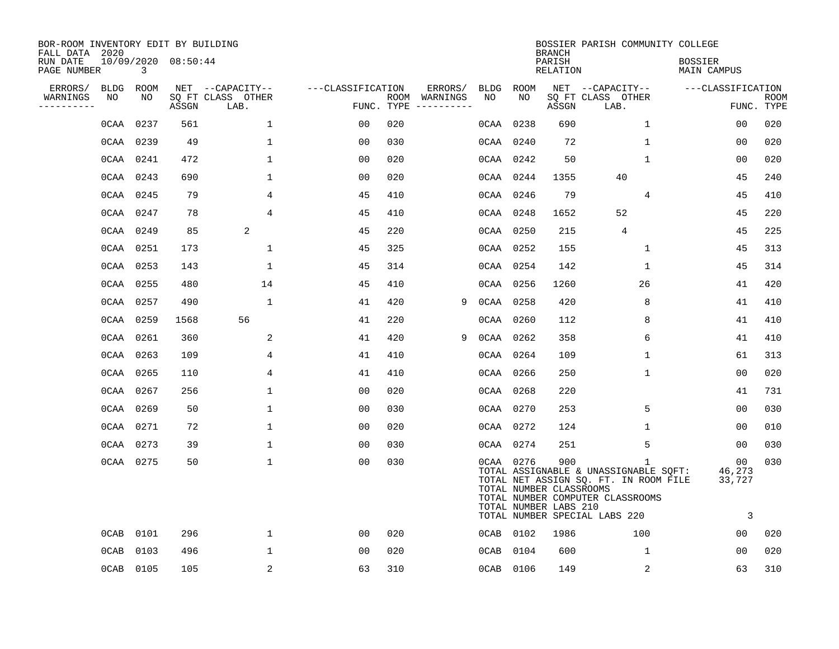| BOR-ROOM INVENTORY EDIT BY BUILDING<br>FALL DATA 2020 |             |             |                     |                           |                   |     |                                                                                                                                                                                                                                                                                                                                                                                                                                                                                                       |             |             | <b>BRANCH</b>                                           | BOSSIER PARISH COMMUNITY COLLEGE                                                                                                                         |                                      |                           |
|-------------------------------------------------------|-------------|-------------|---------------------|---------------------------|-------------------|-----|-------------------------------------------------------------------------------------------------------------------------------------------------------------------------------------------------------------------------------------------------------------------------------------------------------------------------------------------------------------------------------------------------------------------------------------------------------------------------------------------------------|-------------|-------------|---------------------------------------------------------|----------------------------------------------------------------------------------------------------------------------------------------------------------|--------------------------------------|---------------------------|
| RUN DATE<br>PAGE NUMBER                               |             | 3           | 10/09/2020 08:50:44 |                           |                   |     |                                                                                                                                                                                                                                                                                                                                                                                                                                                                                                       |             |             | PARISH<br><b>RELATION</b>                               |                                                                                                                                                          | <b>BOSSIER</b><br><b>MAIN CAMPUS</b> |                           |
| ERRORS/                                               | <b>BLDG</b> | <b>ROOM</b> |                     | NET --CAPACITY--          | ---CLASSIFICATION |     | ERRORS/                                                                                                                                                                                                                                                                                                                                                                                                                                                                                               | <b>BLDG</b> | <b>ROOM</b> |                                                         | NET --CAPACITY--                                                                                                                                         | ---CLASSIFICATION                    |                           |
| WARNINGS<br>. <u>.</u> .                              | NO          | NO          | ASSGN               | SQ FT CLASS OTHER<br>LAB. | FUNC. TYPE        |     | ROOM WARNINGS<br>$\begin{tabular}{cccccc} \multicolumn{2}{c}{} & \multicolumn{2}{c}{} & \multicolumn{2}{c}{} & \multicolumn{2}{c}{} & \multicolumn{2}{c}{} & \multicolumn{2}{c}{} & \multicolumn{2}{c}{} & \multicolumn{2}{c}{} & \multicolumn{2}{c}{} & \multicolumn{2}{c}{} & \multicolumn{2}{c}{} & \multicolumn{2}{c}{} & \multicolumn{2}{c}{} & \multicolumn{2}{c}{} & \multicolumn{2}{c}{} & \multicolumn{2}{c}{} & \multicolumn{2}{c}{} & \multicolumn{2}{c}{} & \multicolumn{2}{c}{} & \mult$ | NO          | NO          | ASSGN                                                   | SQ FT CLASS OTHER<br>LAB.                                                                                                                                |                                      | <b>ROOM</b><br>FUNC. TYPE |
|                                                       | 0CAA        | 0237        | 561                 | $\mathbf{1}$              | 00                | 020 |                                                                                                                                                                                                                                                                                                                                                                                                                                                                                                       | 0CAA        | 0238        | 690                                                     | $\mathbf{1}$                                                                                                                                             | 0 <sub>0</sub>                       | 020                       |
|                                                       | 0CAA        | 0239        | 49                  | $\mathbf 1$               | 0 <sub>0</sub>    | 030 |                                                                                                                                                                                                                                                                                                                                                                                                                                                                                                       | 0CAA        | 0240        | 72                                                      | 1                                                                                                                                                        | 0 <sub>0</sub>                       | 020                       |
|                                                       | 0CAA        | 0241        | 472                 | $\mathbf 1$               | 0 <sub>0</sub>    | 020 |                                                                                                                                                                                                                                                                                                                                                                                                                                                                                                       | 0CAA        | 0242        | 50                                                      | $\mathbf 1$                                                                                                                                              | 0 <sub>0</sub>                       | 020                       |
|                                                       | 0CAA        | 0243        | 690                 | $\mathbf 1$               | 0 <sub>0</sub>    | 020 |                                                                                                                                                                                                                                                                                                                                                                                                                                                                                                       |             | 0CAA 0244   | 1355                                                    | 40                                                                                                                                                       | 45                                   | 240                       |
|                                                       | 0CAA        | 0245        | 79                  | 4                         | 45                | 410 |                                                                                                                                                                                                                                                                                                                                                                                                                                                                                                       |             | 0CAA 0246   | 79                                                      | 4                                                                                                                                                        | 45                                   | 410                       |
|                                                       | 0CAA        | 0247        | 78                  | $\overline{4}$            | 45                | 410 |                                                                                                                                                                                                                                                                                                                                                                                                                                                                                                       |             | 0CAA 0248   | 1652                                                    | 52                                                                                                                                                       | 45                                   | 220                       |
|                                                       | 0CAA        | 0249        | 85                  | 2                         | 45                | 220 |                                                                                                                                                                                                                                                                                                                                                                                                                                                                                                       |             | 0CAA 0250   | 215                                                     | $\overline{4}$                                                                                                                                           | 45                                   | 225                       |
|                                                       | 0CAA        | 0251        | 173                 | $\mathbf 1$               | 45                | 325 |                                                                                                                                                                                                                                                                                                                                                                                                                                                                                                       |             | 0CAA 0252   | 155                                                     | $\mathbf 1$                                                                                                                                              | 45                                   | 313                       |
|                                                       | 0CAA        | 0253        | 143                 | 1                         | 45                | 314 |                                                                                                                                                                                                                                                                                                                                                                                                                                                                                                       |             | 0CAA 0254   | 142                                                     | $\mathbf 1$                                                                                                                                              | 45                                   | 314                       |
|                                                       | 0CAA        | 0255        | 480                 | 14                        | 45                | 410 |                                                                                                                                                                                                                                                                                                                                                                                                                                                                                                       |             | 0CAA 0256   | 1260                                                    | 26                                                                                                                                                       | 41                                   | 420                       |
|                                                       | 0CAA        | 0257        | 490                 | $\mathbf{1}$              | 41                | 420 | 9                                                                                                                                                                                                                                                                                                                                                                                                                                                                                                     | 0CAA        | 0258        | 420                                                     | 8                                                                                                                                                        | 41                                   | 410                       |
|                                                       | 0CAA        | 0259        | 1568                | 56                        | 41                | 220 |                                                                                                                                                                                                                                                                                                                                                                                                                                                                                                       | 0CAA        | 0260        | 112                                                     | 8                                                                                                                                                        | 41                                   | 410                       |
|                                                       | 0CAA        | 0261        | 360                 | 2                         | 41                | 420 | 9                                                                                                                                                                                                                                                                                                                                                                                                                                                                                                     | 0CAA        | 0262        | 358                                                     | 6                                                                                                                                                        | 41                                   | 410                       |
|                                                       | 0CAA        | 0263        | 109                 | 4                         | 41                | 410 |                                                                                                                                                                                                                                                                                                                                                                                                                                                                                                       | 0CAA        | 0264        | 109                                                     | 1                                                                                                                                                        | 61                                   | 313                       |
|                                                       | 0CAA        | 0265        | 110                 | 4                         | 41                | 410 |                                                                                                                                                                                                                                                                                                                                                                                                                                                                                                       | 0CAA        | 0266        | 250                                                     | 1                                                                                                                                                        | 0 <sub>0</sub>                       | 020                       |
|                                                       | 0CAA        | 0267        | 256                 | 1                         | 0 <sub>0</sub>    | 020 |                                                                                                                                                                                                                                                                                                                                                                                                                                                                                                       |             | 0CAA 0268   | 220                                                     |                                                                                                                                                          | 41                                   | 731                       |
|                                                       | 0CAA        | 0269        | 50                  | $\mathbf 1$               | 0 <sub>0</sub>    | 030 |                                                                                                                                                                                                                                                                                                                                                                                                                                                                                                       |             | 0CAA 0270   | 253                                                     | 5                                                                                                                                                        | 0 <sub>0</sub>                       | 030                       |
|                                                       | 0CAA        | 0271        | 72                  | $\mathbf 1$               | 0 <sub>0</sub>    | 020 |                                                                                                                                                                                                                                                                                                                                                                                                                                                                                                       |             | 0CAA 0272   | 124                                                     | 1                                                                                                                                                        | 0 <sub>0</sub>                       | 010                       |
|                                                       | 0CAA        | 0273        | 39                  | $\mathbf 1$               | 0 <sub>0</sub>    | 030 |                                                                                                                                                                                                                                                                                                                                                                                                                                                                                                       |             | 0CAA 0274   | 251                                                     | 5                                                                                                                                                        | 00                                   | 030                       |
|                                                       | 0CAA 0275   |             | 50                  | $\mathbf 1$               | 0 <sub>0</sub>    | 030 |                                                                                                                                                                                                                                                                                                                                                                                                                                                                                                       |             | 0CAA 0276   | 900<br>TOTAL NUMBER CLASSROOMS<br>TOTAL NUMBER LABS 210 | 1<br>TOTAL ASSIGNABLE & UNASSIGNABLE SQFT:<br>TOTAL NET ASSIGN SQ. FT. IN ROOM FILE<br>TOTAL NUMBER COMPUTER CLASSROOMS<br>TOTAL NUMBER SPECIAL LABS 220 | 00<br>46,273<br>33,727<br>3          | 030                       |
|                                                       | 0CAB        | 0101        | 296                 | $\mathbf 1$               | 00                | 020 |                                                                                                                                                                                                                                                                                                                                                                                                                                                                                                       |             | 0CAB 0102   | 1986                                                    | 100                                                                                                                                                      | 0 <sub>0</sub>                       | 020                       |
|                                                       | 0CAB        | 0103        | 496                 | $\mathbf{1}$              | 0 <sub>0</sub>    | 020 |                                                                                                                                                                                                                                                                                                                                                                                                                                                                                                       | 0CAB        | 0104        | 600                                                     | $\mathbf 1$                                                                                                                                              | 0 <sub>0</sub>                       | 020                       |
|                                                       | 0CAB 0105   |             | 105                 | 2                         | 63                | 310 |                                                                                                                                                                                                                                                                                                                                                                                                                                                                                                       |             | 0CAB 0106   | 149                                                     | 2                                                                                                                                                        | 63                                   | 310                       |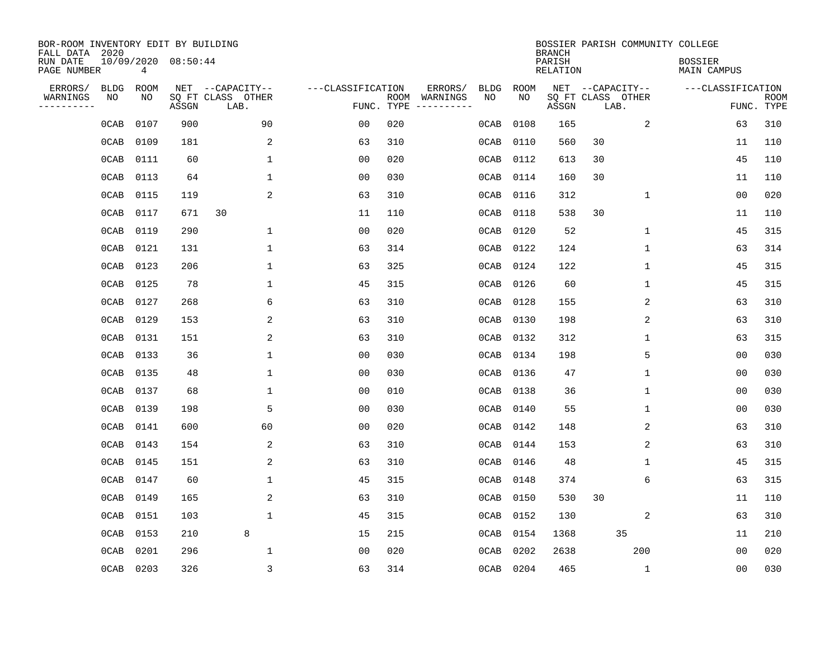| BOR-ROOM INVENTORY EDIT BY BUILDING<br>FALL DATA 2020 |             |      |                     |                           |                   |                    |                        |             |             | <b>BRANCH</b>             |                           |              | BOSSIER PARISH COMMUNITY COLLEGE |                |                           |
|-------------------------------------------------------|-------------|------|---------------------|---------------------------|-------------------|--------------------|------------------------|-------------|-------------|---------------------------|---------------------------|--------------|----------------------------------|----------------|---------------------------|
| RUN DATE<br>PAGE NUMBER                               |             | 4    | 10/09/2020 08:50:44 |                           |                   |                    |                        |             |             | PARISH<br><b>RELATION</b> |                           |              | <b>BOSSIER</b><br>MAIN CAMPUS    |                |                           |
| ERRORS/                                               | <b>BLDG</b> | ROOM |                     | NET --CAPACITY--          | ---CLASSIFICATION |                    | ERRORS/                | <b>BLDG</b> | <b>ROOM</b> |                           | NET --CAPACITY--          |              | ---CLASSIFICATION                |                |                           |
| WARNINGS<br>----------                                | NO          | NO   | ASSGN               | SQ FT CLASS OTHER<br>LAB. |                   | ROOM<br>FUNC. TYPE | WARNINGS<br>---------- | NO          | NO          | ASSGN                     | SQ FT CLASS OTHER<br>LAB. |              |                                  |                | <b>ROOM</b><br>FUNC. TYPE |
|                                                       | 0CAB        | 0107 | 900                 | 90                        | 00                | 020                |                        | 0CAB        | 0108        | 165                       |                           | 2            |                                  | 63             | 310                       |
|                                                       | 0CAB        | 0109 | 181                 | 2                         | 63                | 310                |                        | 0CAB        | 0110        | 560                       | 30                        |              |                                  | 11             | 110                       |
|                                                       | 0CAB        | 0111 | 60                  | $\mathbf 1$               | 0 <sub>0</sub>    | 020                |                        | 0CAB        | 0112        | 613                       | 30                        |              |                                  | 45             | 110                       |
|                                                       | 0CAB        | 0113 | 64                  | 1                         | 0 <sub>0</sub>    | 030                |                        | 0CAB        | 0114        | 160                       | 30                        |              |                                  | 11             | 110                       |
|                                                       | 0CAB        | 0115 | 119                 | 2                         | 63                | 310                |                        | 0CAB        | 0116        | 312                       |                           | $\mathbf 1$  |                                  | 0 <sub>0</sub> | 020                       |
|                                                       | 0CAB        | 0117 | 671                 | 30                        | 11                | 110                |                        | 0CAB        | 0118        | 538                       | 30                        |              |                                  | 11             | 110                       |
|                                                       | 0CAB        | 0119 | 290                 | $\mathbf{1}$              | 0 <sub>0</sub>    | 020                |                        | 0CAB        | 0120        | 52                        |                           | $\mathbf{1}$ |                                  | 45             | 315                       |
|                                                       | 0CAB        | 0121 | 131                 | $\mathbf{1}$              | 63                | 314                |                        | 0CAB        | 0122        | 124                       |                           | $\mathbf{1}$ |                                  | 63             | 314                       |
|                                                       | 0CAB        | 0123 | 206                 | $\mathbf{1}$              | 63                | 325                |                        | 0CAB        | 0124        | 122                       |                           | $\mathbf 1$  |                                  | 45             | 315                       |
|                                                       | 0CAB        | 0125 | 78                  | 1                         | 45                | 315                |                        | 0CAB        | 0126        | 60                        |                           | 1            |                                  | 45             | 315                       |
|                                                       | 0CAB        | 0127 | 268                 | 6                         | 63                | 310                |                        | 0CAB        | 0128        | 155                       |                           | 2            |                                  | 63             | 310                       |
|                                                       | 0CAB        | 0129 | 153                 | 2                         | 63                | 310                |                        | 0CAB        | 0130        | 198                       |                           | 2            |                                  | 63             | 310                       |
|                                                       | 0CAB        | 0131 | 151                 | 2                         | 63                | 310                |                        | 0CAB        | 0132        | 312                       |                           | 1            |                                  | 63             | 315                       |
|                                                       | 0CAB        | 0133 | 36                  | 1                         | 0 <sub>0</sub>    | 030                |                        | 0CAB        | 0134        | 198                       |                           | 5            |                                  | 0 <sub>0</sub> | 030                       |
|                                                       | 0CAB        | 0135 | 48                  | 1                         | 0 <sub>0</sub>    | 030                |                        | 0CAB        | 0136        | 47                        |                           | 1            |                                  | 0 <sub>0</sub> | 030                       |
|                                                       | 0CAB        | 0137 | 68                  | 1                         | 0 <sub>0</sub>    | 010                |                        | 0CAB        | 0138        | 36                        |                           | 1            |                                  | 0 <sub>0</sub> | 030                       |
|                                                       | 0CAB        | 0139 | 198                 | 5                         | 0 <sub>0</sub>    | 030                |                        | 0CAB        | 0140        | 55                        |                           | 1            |                                  | 0 <sub>0</sub> | 030                       |
|                                                       | 0CAB        | 0141 | 600                 | 60                        | 0 <sub>0</sub>    | 020                |                        | 0CAB        | 0142        | 148                       |                           | 2            |                                  | 63             | 310                       |
|                                                       | 0CAB        | 0143 | 154                 | 2                         | 63                | 310                |                        | 0CAB        | 0144        | 153                       |                           | 2            |                                  | 63             | 310                       |
|                                                       | 0CAB        | 0145 | 151                 | 2                         | 63                | 310                |                        | 0CAB        | 0146        | 48                        |                           | 1            |                                  | 45             | 315                       |
|                                                       | 0CAB        | 0147 | 60                  | 1                         | 45                | 315                |                        | 0CAB        | 0148        | 374                       |                           | 6            |                                  | 63             | 315                       |
|                                                       | 0CAB        | 0149 | 165                 | 2                         | 63                | 310                |                        | 0CAB        | 0150        | 530                       | 30                        |              |                                  | 11             | 110                       |
|                                                       | 0CAB        | 0151 | 103                 | $\mathbf{1}$              | 45                | 315                |                        | 0CAB        | 0152        | 130                       |                           | 2            |                                  | 63             | 310                       |
|                                                       | 0CAB        | 0153 | 210                 | 8                         | 15                | 215                |                        | 0CAB        | 0154        | 1368                      |                           | 35           |                                  | 11             | 210                       |
|                                                       | 0CAB        | 0201 | 296                 | $\mathbf{1}$              | 0 <sub>0</sub>    | 020                |                        | 0CAB        | 0202        | 2638                      |                           | 200          |                                  | 0 <sub>0</sub> | 020                       |
|                                                       | 0CAB        | 0203 | 326                 | 3                         | 63                | 314                |                        |             | 0CAB 0204   | 465                       |                           | 1            |                                  | 00             | 030                       |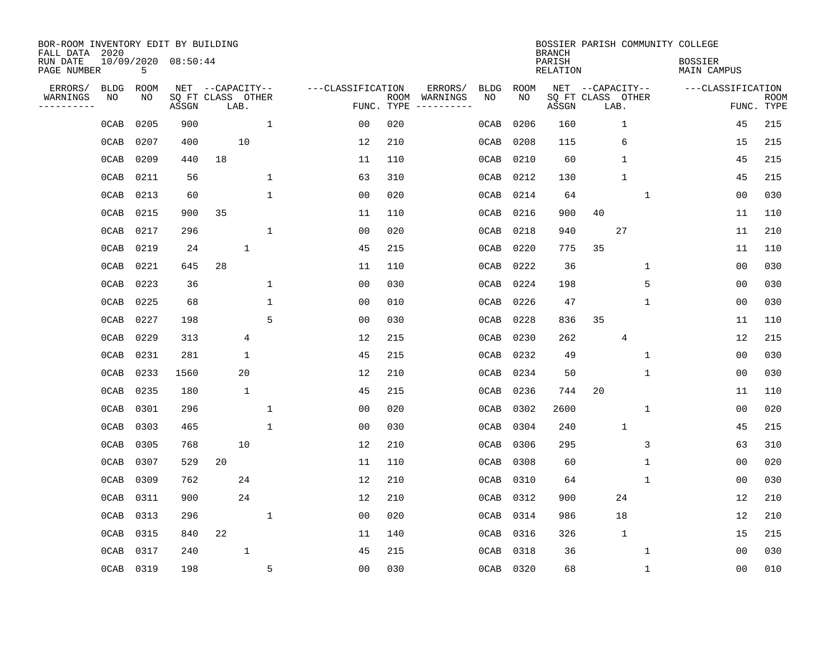| BOR-ROOM INVENTORY EDIT BY BUILDING<br>FALL DATA 2020 |             |      |                            |                  |              |              |                   |                    |          |             |      | <b>BRANCH</b>      |                           |              | BOSSIER PARISH COMMUNITY COLLEGE |                |                           |
|-------------------------------------------------------|-------------|------|----------------------------|------------------|--------------|--------------|-------------------|--------------------|----------|-------------|------|--------------------|---------------------------|--------------|----------------------------------|----------------|---------------------------|
| RUN DATE<br>PAGE NUMBER                               |             | 5    | 10/09/2020 08:50:44        |                  |              |              |                   |                    |          |             |      | PARISH<br>RELATION |                           |              | <b>BOSSIER</b><br>MAIN CAMPUS    |                |                           |
| ERRORS/                                               | <b>BLDG</b> | ROOM |                            | NET --CAPACITY-- |              |              | ---CLASSIFICATION |                    | ERRORS/  | <b>BLDG</b> | ROOM |                    | NET --CAPACITY--          |              | ---CLASSIFICATION                |                |                           |
| WARNINGS<br>--------                                  | NO          | NO   | SQ FT CLASS OTHER<br>ASSGN |                  | LAB.         |              |                   | ROOM<br>FUNC. TYPE | WARNINGS | NO          | NO   | ASSGN              | SQ FT CLASS OTHER<br>LAB. |              |                                  |                | <b>ROOM</b><br>FUNC. TYPE |
|                                                       | 0CAB        | 0205 | 900                        |                  |              | $\mathbf{1}$ | 0 <sub>0</sub>    | 020                |          | 0CAB        | 0206 | 160                |                           | $\mathbf{1}$ |                                  | 45             | 215                       |
|                                                       | 0CAB        | 0207 | 400                        |                  | 10           |              | 12                | 210                |          | 0CAB        | 0208 | 115                |                           | 6            |                                  | 15             | 215                       |
|                                                       | 0CAB        | 0209 | 440                        | 18               |              |              | 11                | 110                |          | 0CAB        | 0210 | 60                 |                           | $\mathbf{1}$ |                                  | 45             | 215                       |
|                                                       | 0CAB        | 0211 | 56                         |                  |              | 1            | 63                | 310                |          | 0CAB        | 0212 | 130                |                           | $\mathbf{1}$ |                                  | 45             | 215                       |
|                                                       | 0CAB        | 0213 | 60                         |                  |              | 1            | 0 <sub>0</sub>    | 020                |          | 0CAB        | 0214 | 64                 |                           | 1            |                                  | 0 <sub>0</sub> | 030                       |
|                                                       | 0CAB        | 0215 | 900                        | 35               |              |              | 11                | 110                |          | 0CAB        | 0216 | 900                | 40                        |              |                                  | 11             | 110                       |
|                                                       | 0CAB        | 0217 | 296                        |                  |              | 1            | 0 <sub>0</sub>    | 020                |          | 0CAB        | 0218 | 940                |                           | 27           |                                  | 11             | 210                       |
|                                                       | 0CAB        | 0219 | 24                         |                  | $\mathbf{1}$ |              | 45                | 215                |          | 0CAB        | 0220 | 775                | 35                        |              |                                  | 11             | 110                       |
|                                                       | 0CAB        | 0221 | 645                        | 28               |              |              | 11                | 110                |          | 0CAB        | 0222 | 36                 |                           | 1            |                                  | 0 <sub>0</sub> | 030                       |
|                                                       | 0CAB        | 0223 | 36                         |                  |              | 1            | 0 <sub>0</sub>    | 030                |          | 0CAB        | 0224 | 198                |                           | 5            |                                  | 0 <sub>0</sub> | 030                       |
|                                                       | 0CAB        | 0225 | 68                         |                  |              | 1            | 0 <sub>0</sub>    | 010                |          | 0CAB        | 0226 | 47                 |                           | 1            |                                  | 0 <sub>0</sub> | 030                       |
|                                                       | 0CAB        | 0227 | 198                        |                  |              | 5            | 0 <sub>0</sub>    | 030                |          | 0CAB        | 0228 | 836                | 35                        |              |                                  | 11             | 110                       |
|                                                       | 0CAB        | 0229 | 313                        |                  | 4            |              | 12                | 215                |          | 0CAB        | 0230 | 262                |                           | 4            |                                  | 12             | 215                       |
|                                                       | 0CAB        | 0231 | 281                        |                  | 1            |              | 45                | 215                |          | 0CAB        | 0232 | 49                 |                           | 1            |                                  | 0 <sub>0</sub> | 030                       |
|                                                       | 0CAB        | 0233 | 1560                       |                  | 20           |              | 12                | 210                |          | 0CAB        | 0234 | 50                 |                           | 1            |                                  | 00             | 030                       |
|                                                       | 0CAB        | 0235 | 180                        |                  | $\mathbf 1$  |              | 45                | 215                |          | 0CAB        | 0236 | 744                | 20                        |              |                                  | 11             | 110                       |
|                                                       | 0CAB        | 0301 | 296                        |                  |              | $\mathbf{1}$ | 0 <sub>0</sub>    | 020                |          | 0CAB        | 0302 | 2600               |                           | 1            |                                  | 0 <sub>0</sub> | 020                       |
|                                                       | 0CAB        | 0303 | 465                        |                  |              | $\mathbf{1}$ | 0 <sub>0</sub>    | 030                |          | 0CAB        | 0304 | 240                |                           | $\mathbf{1}$ |                                  | 45             | 215                       |
|                                                       | 0CAB        | 0305 | 768                        |                  | 10           |              | 12                | 210                |          | 0CAB        | 0306 | 295                |                           | 3            |                                  | 63             | 310                       |
|                                                       | 0CAB        | 0307 | 529                        | 20               |              |              | 11                | 110                |          | 0CAB        | 0308 | 60                 |                           | 1            |                                  | 0 <sub>0</sub> | 020                       |
|                                                       | 0CAB        | 0309 | 762                        |                  | 24           |              | 12                | 210                |          | 0CAB        | 0310 | 64                 |                           | 1            |                                  | 0 <sub>0</sub> | 030                       |
|                                                       | 0CAB        | 0311 | 900                        |                  | 24           |              | 12                | 210                |          | 0CAB        | 0312 | 900                |                           | 24           |                                  | 12             | 210                       |
|                                                       | 0CAB        | 0313 | 296                        |                  |              | $\mathbf{1}$ | 0 <sub>0</sub>    | 020                |          | 0CAB        | 0314 | 986                |                           | 18           |                                  | 12             | 210                       |
|                                                       | 0CAB        | 0315 | 840                        | 22               |              |              | 11                | 140                |          | 0CAB        | 0316 | 326                |                           | $\mathbf{1}$ |                                  | 15             | 215                       |
|                                                       | 0CAB        | 0317 | 240                        |                  | $\mathbf{1}$ |              | 45                | 215                |          | 0CAB        | 0318 | 36                 |                           | 1            |                                  | 00             | 030                       |
|                                                       | OCAB 0319   |      | 198                        |                  |              | 5            | 0 <sub>0</sub>    | 030                |          | 0CAB 0320   |      | 68                 |                           | 1            |                                  | 00             | 010                       |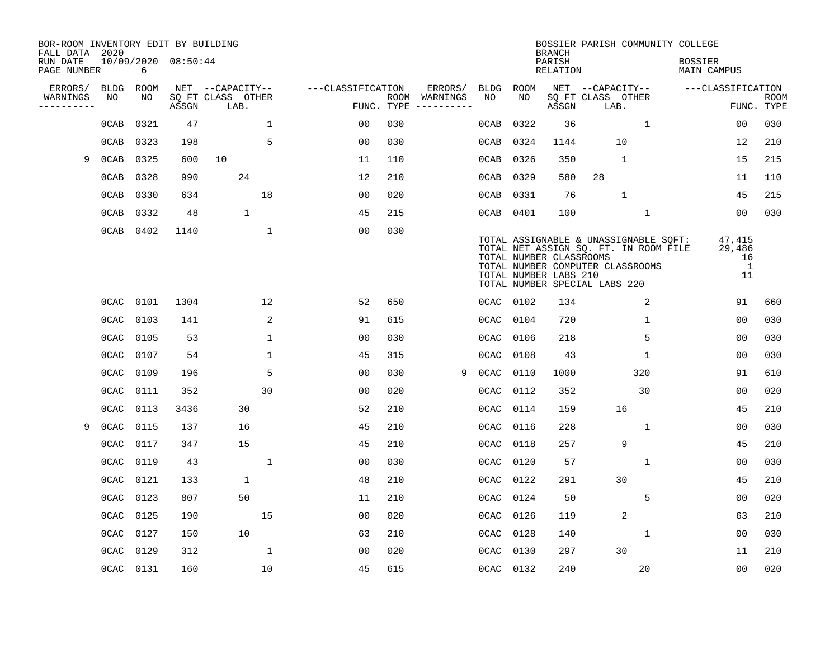| BOR-ROOM INVENTORY EDIT BY BUILDING<br>FALL DATA 2020 |             |             |                     |                           |                   |                    |          |             |             | <b>BRANCH</b>                                    | BOSSIER PARISH COMMUNITY COLLEGE                                                                                                                    |                                      |                           |
|-------------------------------------------------------|-------------|-------------|---------------------|---------------------------|-------------------|--------------------|----------|-------------|-------------|--------------------------------------------------|-----------------------------------------------------------------------------------------------------------------------------------------------------|--------------------------------------|---------------------------|
| RUN DATE<br>PAGE NUMBER                               |             | 6           | 10/09/2020 08:50:44 |                           |                   |                    |          |             |             | PARISH<br><b>RELATION</b>                        |                                                                                                                                                     | <b>BOSSIER</b><br><b>MAIN CAMPUS</b> |                           |
| ERRORS/                                               | <b>BLDG</b> | <b>ROOM</b> |                     | NET --CAPACITY--          | ---CLASSIFICATION |                    | ERRORS/  | <b>BLDG</b> | <b>ROOM</b> |                                                  | NET --CAPACITY--                                                                                                                                    | ---CLASSIFICATION                    |                           |
| WARNINGS<br>---------                                 | NO          | NO          | ASSGN               | SQ FT CLASS OTHER<br>LAB. |                   | ROOM<br>FUNC. TYPE | WARNINGS | NO          | NO          | ASSGN                                            | SQ FT CLASS OTHER<br>LAB.                                                                                                                           |                                      | <b>ROOM</b><br>FUNC. TYPE |
|                                                       | 0CAB        | 0321        | 47                  | $\mathbf 1$               | 0 <sub>0</sub>    | 030                |          | 0CAB        | 0322        | 36                                               | $\mathbf{1}$                                                                                                                                        | 0 <sub>0</sub>                       | 030                       |
|                                                       | 0CAB        | 0323        | 198                 | 5                         | 0 <sub>0</sub>    | 030                |          | 0CAB        | 0324        | 1144                                             | 10                                                                                                                                                  | 12                                   | 210                       |
| 9                                                     | 0CAB        | 0325        | 600                 | 10                        | 11                | 110                |          | 0CAB        | 0326        | 350                                              | $\mathbf{1}$                                                                                                                                        | 15                                   | 215                       |
|                                                       | 0CAB        | 0328        | 990                 | 24                        | 12                | 210                |          | 0CAB        | 0329        | 580                                              | 28                                                                                                                                                  | 11                                   | 110                       |
|                                                       | 0CAB        | 0330        | 634                 | 18                        | 0 <sub>0</sub>    | 020                |          | 0CAB        | 0331        | 76                                               | $\mathbf{1}$                                                                                                                                        | 45                                   | 215                       |
|                                                       | 0CAB        | 0332        | 48                  | $\mathbf{1}$              | 45                | 215                |          |             | 0CAB 0401   | 100                                              | $\mathbf 1$                                                                                                                                         | 00                                   | 030                       |
|                                                       | 0CAB        | 0402        | 1140                | $\mathbf{1}$              | 0 <sub>0</sub>    | 030                |          |             |             | TOTAL NUMBER CLASSROOMS<br>TOTAL NUMBER LABS 210 | TOTAL ASSIGNABLE & UNASSIGNABLE SOFT:<br>TOTAL NET ASSIGN SQ. FT. IN ROOM FILE<br>TOTAL NUMBER COMPUTER CLASSROOMS<br>TOTAL NUMBER SPECIAL LABS 220 | 47,415<br>29,486<br>16<br>1<br>11    |                           |
|                                                       | 0CAC        | 0101        | 1304                | 12                        | 52                | 650                |          |             | 0CAC 0102   | 134                                              | 2                                                                                                                                                   | 91                                   | 660                       |
|                                                       | 0CAC        | 0103        | 141                 | 2                         | 91                | 615                |          | 0CAC        | 0104        | 720                                              | $\mathbf 1$                                                                                                                                         | 0 <sub>0</sub>                       | 030                       |
|                                                       | 0CAC        | 0105        | 53                  | 1                         | 0 <sub>0</sub>    | 030                |          | 0CAC        | 0106        | 218                                              | 5                                                                                                                                                   | 0 <sub>0</sub>                       | 030                       |
|                                                       | 0CAC        | 0107        | 54                  | 1                         | 45                | 315                |          | 0CAC        | 0108        | 43                                               | 1                                                                                                                                                   | 00                                   | 030                       |
|                                                       | 0CAC        | 0109        | 196                 | 5                         | 0 <sub>0</sub>    | 030                | 9        | 0CAC        | 0110        | 1000                                             | 320                                                                                                                                                 | 91                                   | 610                       |
|                                                       | 0CAC        | 0111        | 352                 | 30                        | 0 <sub>0</sub>    | 020                |          | 0CAC        | 0112        | 352                                              | 30                                                                                                                                                  | 0 <sub>0</sub>                       | 020                       |
|                                                       | 0CAC        | 0113        | 3436                | 30                        | 52                | 210                |          | 0CAC        | 0114        | 159                                              | 16                                                                                                                                                  | 45                                   | 210                       |
| 9                                                     | 0CAC        | 0115        | 137                 | 16                        | 45                | 210                |          | 0CAC        | 0116        | 228                                              | 1                                                                                                                                                   | 0 <sub>0</sub>                       | 030                       |
|                                                       | 0CAC        | 0117        | 347                 | 15                        | 45                | 210                |          | 0CAC        | 0118        | 257                                              | 9                                                                                                                                                   | 45                                   | 210                       |
|                                                       | 0CAC        | 0119        | 43                  | $\mathbf 1$               | 0 <sub>0</sub>    | 030                |          | 0CAC        | 0120        | 57                                               | $\mathbf 1$                                                                                                                                         | 0 <sub>0</sub>                       | 030                       |
|                                                       | 0CAC        | 0121        | 133                 | $\mathbf{1}$              | 48                | 210                |          | 0CAC        | 0122        | 291                                              | 30                                                                                                                                                  | 45                                   | 210                       |
|                                                       | 0CAC        | 0123        | 807                 | 50                        | 11                | 210                |          | 0CAC        | 0124        | 50                                               | 5                                                                                                                                                   | 0 <sub>0</sub>                       | 020                       |
|                                                       | 0CAC        | 0125        | 190                 | 15                        | 0 <sub>0</sub>    | 020                |          | 0CAC        | 0126        | 119                                              | 2                                                                                                                                                   | 63                                   | 210                       |
|                                                       | 0CAC        | 0127        | 150                 | 10                        | 63                | 210                |          | 0CAC        | 0128        | 140                                              | $\mathbf 1$                                                                                                                                         | 0 <sub>0</sub>                       | 030                       |
|                                                       | 0CAC        | 0129        | 312                 | $\mathbf{1}$              | 0 <sub>0</sub>    | 020                |          | 0CAC        | 0130        | 297                                              | 30                                                                                                                                                  | 11                                   | 210                       |
|                                                       |             | 0CAC 0131   | 160                 | 10                        | 45                | 615                |          |             | 0CAC 0132   | 240                                              | 20                                                                                                                                                  | 00                                   | 020                       |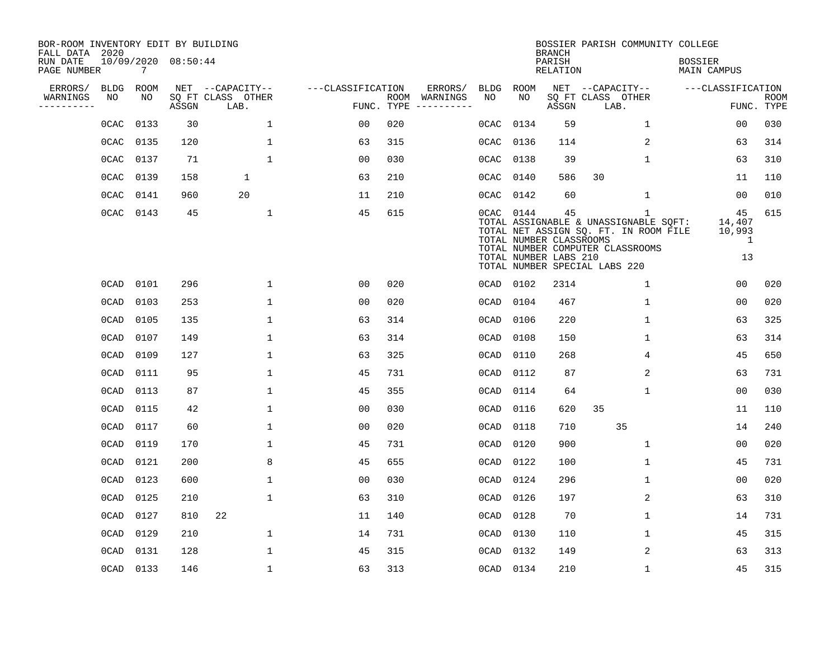| BOR-ROOM INVENTORY EDIT BY BUILDING<br>FALL DATA 2020 |             |             |                     |                           |                   |            |               |             |             | <b>BRANCH</b>                                          | BOSSIER PARISH COMMUNITY COLLEGE                                                                                                                         |                                      |                           |
|-------------------------------------------------------|-------------|-------------|---------------------|---------------------------|-------------------|------------|---------------|-------------|-------------|--------------------------------------------------------|----------------------------------------------------------------------------------------------------------------------------------------------------------|--------------------------------------|---------------------------|
| RUN DATE<br>PAGE NUMBER                               |             | 7           | 10/09/2020 08:50:44 |                           |                   |            |               |             |             | PARISH<br><b>RELATION</b>                              |                                                                                                                                                          | <b>BOSSIER</b><br><b>MAIN CAMPUS</b> |                           |
| ERRORS/                                               | <b>BLDG</b> | <b>ROOM</b> |                     | NET --CAPACITY--          | ---CLASSIFICATION |            | ERRORS/       | <b>BLDG</b> | <b>ROOM</b> |                                                        | NET --CAPACITY--                                                                                                                                         | ---CLASSIFICATION                    |                           |
| WARNINGS<br>----------                                | NO          | NO          | ASSGN               | SQ FT CLASS OTHER<br>LAB. |                   | FUNC. TYPE | ROOM WARNINGS | NO          | NO          | ASSGN                                                  | SQ FT CLASS OTHER<br>LAB.                                                                                                                                |                                      | <b>ROOM</b><br>FUNC. TYPE |
|                                                       | 0CAC        | 0133        | 30                  | $\mathbf{1}$              | 00                | 020        |               | 0CAC        | 0134        | 59                                                     | 1                                                                                                                                                        | 00                                   | 030                       |
|                                                       | 0CAC        | 0135        | 120                 | $\mathbf{1}$              | 63                | 315        |               | 0CAC        | 0136        | 114                                                    | 2                                                                                                                                                        | 63                                   | 314                       |
|                                                       | 0CAC        | 0137        | 71                  | $\mathbf{1}$              | 0 <sub>0</sub>    | 030        |               | 0CAC        | 0138        | 39                                                     | $\mathbf 1$                                                                                                                                              | 63                                   | 310                       |
|                                                       | 0CAC        | 0139        | 158                 | 1                         | 63                | 210        |               | 0CAC        | 0140        | 586                                                    | 30                                                                                                                                                       | 11                                   | 110                       |
|                                                       | 0CAC        | 0141        | 960                 | 20                        | 11                | 210        |               | 0CAC        | 0142        | 60                                                     | $\mathbf{1}$                                                                                                                                             | 0 <sub>0</sub>                       | 010                       |
|                                                       | 0CAC        | 0143        | 45                  | $\mathbf{1}$              | 45                | 615        |               |             | 0CAC 0144   | 45<br>TOTAL NUMBER CLASSROOMS<br>TOTAL NUMBER LABS 210 | 1<br>TOTAL ASSIGNABLE & UNASSIGNABLE SQFT:<br>TOTAL NET ASSIGN SQ. FT. IN ROOM FILE<br>TOTAL NUMBER COMPUTER CLASSROOMS<br>TOTAL NUMBER SPECIAL LABS 220 | 45<br>14,407<br>10,993<br>1<br>13    | 615                       |
|                                                       | 0CAD        | 0101        | 296                 | $\mathbf{1}$              | 0 <sub>0</sub>    | 020        |               | 0CAD        | 0102        | 2314                                                   | $\mathbf 1$                                                                                                                                              | 0 <sub>0</sub>                       | 020                       |
|                                                       | 0CAD        | 0103        | 253                 | $\mathbf 1$               | 0 <sub>0</sub>    | 020        |               | 0CAD        | 0104        | 467                                                    | $\mathbf 1$                                                                                                                                              | 0 <sub>0</sub>                       | 020                       |
|                                                       | 0CAD        | 0105        | 135                 | $\mathbf{1}$              | 63                | 314        |               | 0CAD        | 0106        | 220                                                    | $\mathbf 1$                                                                                                                                              | 63                                   | 325                       |
|                                                       | 0CAD        | 0107        | 149                 | 1                         | 63                | 314        |               | 0CAD        | 0108        | 150                                                    | 1                                                                                                                                                        | 63                                   | 314                       |
|                                                       | 0CAD        | 0109        | 127                 | $\mathbf{1}$              | 63                | 325        |               | 0CAD        | 0110        | 268                                                    | 4                                                                                                                                                        | 45                                   | 650                       |
|                                                       | 0CAD        | 0111        | 95                  | 1                         | 45                | 731        |               | 0CAD        | 0112        | 87                                                     | 2                                                                                                                                                        | 63                                   | 731                       |
|                                                       | 0CAD        | 0113        | 87                  | 1                         | 45                | 355        |               | 0CAD        | 0114        | 64                                                     | $\mathbf 1$                                                                                                                                              | 0 <sub>0</sub>                       | 030                       |
|                                                       | 0CAD        | 0115        | 42                  | $\mathbf{1}$              | 00                | 030        |               | 0CAD        | 0116        | 620                                                    | 35                                                                                                                                                       | 11                                   | 110                       |
|                                                       | 0CAD        | 0117        | 60                  | $\mathbf{1}$              | 0 <sub>0</sub>    | 020        |               | 0CAD        | 0118        | 710                                                    | 35                                                                                                                                                       | 14                                   | 240                       |
|                                                       | 0CAD        | 0119        | 170                 | $\mathbf{1}$              | 45                | 731        |               | 0CAD        | 0120        | 900                                                    | $\mathbf 1$                                                                                                                                              | 0 <sub>0</sub>                       | 020                       |
|                                                       | 0CAD        | 0121        | 200                 | 8                         | 45                | 655        |               | 0CAD        | 0122        | 100                                                    | 1                                                                                                                                                        | 45                                   | 731                       |
|                                                       | 0CAD        | 0123        | 600                 | $\mathbf 1$               | 0 <sub>0</sub>    | 030        |               | 0CAD        | 0124        | 296                                                    | 1                                                                                                                                                        | 0 <sub>0</sub>                       | 020                       |
|                                                       | 0CAD        | 0125        | 210                 | $\mathbf{1}$              | 63                | 310        |               | 0CAD        | 0126        | 197                                                    | 2                                                                                                                                                        | 63                                   | 310                       |
|                                                       | 0CAD        | 0127        | 810                 | 22                        | 11                | 140        |               | 0CAD        | 0128        | 70                                                     | $\mathbf 1$                                                                                                                                              | 14                                   | 731                       |
|                                                       | 0CAD        | 0129        | 210                 | $\mathbf{1}$              | 14                | 731        |               | 0CAD        | 0130        | 110                                                    | $\mathbf 1$                                                                                                                                              | 45                                   | 315                       |
|                                                       | 0CAD        | 0131        | 128                 | $\mathbf{1}$              | 45                | 315        |               | 0CAD        | 0132        | 149                                                    | 2                                                                                                                                                        | 63                                   | 313                       |
|                                                       | 0CAD        | 0133        | 146                 | $\mathbf{1}$              | 63                | 313        |               | 0CAD        | 0134        | 210                                                    | $\mathbf{1}$                                                                                                                                             | 45                                   | 315                       |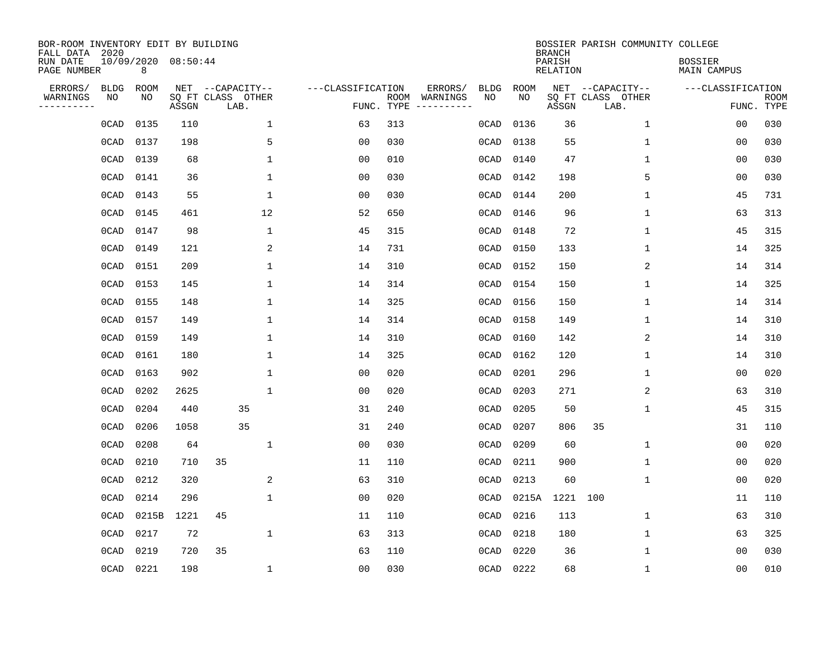| BOR-ROOM INVENTORY EDIT BY BUILDING<br>FALL DATA 2020 |                   |                          |       |                                       |              |                   |            |                     |                   |            | <b>BRANCH</b>      | BOSSIER PARISH COMMUNITY COLLEGE      |                               |             |
|-------------------------------------------------------|-------------------|--------------------------|-------|---------------------------------------|--------------|-------------------|------------|---------------------|-------------------|------------|--------------------|---------------------------------------|-------------------------------|-------------|
| RUN DATE<br>PAGE NUMBER                               |                   | 10/09/2020 08:50:44<br>8 |       |                                       |              |                   |            |                     |                   |            | PARISH<br>RELATION |                                       | <b>BOSSIER</b><br>MAIN CAMPUS |             |
| ERRORS/<br>WARNINGS                                   | <b>BLDG</b><br>NO | ROOM<br>NO               |       | NET --CAPACITY--<br>SQ FT CLASS OTHER |              | ---CLASSIFICATION | ROOM       | ERRORS/<br>WARNINGS | <b>BLDG</b><br>NO | ROOM<br>NO |                    | NET --CAPACITY--<br>SQ FT CLASS OTHER | ---CLASSIFICATION             | <b>ROOM</b> |
| ---------                                             |                   |                          | ASSGN | LAB.                                  |              |                   | FUNC. TYPE |                     |                   |            | ASSGN              | LAB.                                  |                               | FUNC. TYPE  |
|                                                       | 0CAD              | 0135                     | 110   |                                       | $\mathbf{1}$ | 63                | 313        |                     | 0CAD              | 0136       | 36                 | $\mathbf 1$                           | 00                            | 030         |
|                                                       | 0CAD              | 0137                     | 198   |                                       | 5            | 0 <sub>0</sub>    | 030        |                     | 0CAD              | 0138       | 55                 | 1                                     | 0 <sub>0</sub>                | 030         |
|                                                       | 0CAD              | 0139                     | 68    |                                       | $\mathbf{1}$ | 0 <sub>0</sub>    | 010        |                     | 0CAD              | 0140       | 47                 | $\mathbf{1}$                          | 00                            | 030         |
|                                                       | 0CAD              | 0141                     | 36    |                                       | $\mathbf{1}$ | 0 <sub>0</sub>    | 030        |                     | 0CAD              | 0142       | 198                | 5                                     | 0 <sub>0</sub>                | 030         |
|                                                       | 0CAD              | 0143                     | 55    |                                       | 1            | 00                | 030        |                     | 0CAD              | 0144       | 200                | 1                                     | 45                            | 731         |
|                                                       | 0CAD              | 0145                     | 461   |                                       | 12           | 52                | 650        |                     | 0CAD              | 0146       | 96                 | 1                                     | 63                            | 313         |
|                                                       | 0CAD              | 0147                     | 98    |                                       | 1            | 45                | 315        |                     | 0CAD              | 0148       | 72                 | 1                                     | 45                            | 315         |
|                                                       | 0CAD              | 0149                     | 121   |                                       | 2            | 14                | 731        |                     | 0CAD              | 0150       | 133                | 1                                     | 14                            | 325         |
|                                                       | 0CAD              | 0151                     | 209   |                                       | $\mathbf 1$  | 14                | 310        |                     | 0CAD              | 0152       | 150                | 2                                     | 14                            | 314         |
|                                                       | 0CAD              | 0153                     | 145   |                                       | 1            | 14                | 314        |                     | 0CAD              | 0154       | 150                | $\mathbf 1$                           | 14                            | 325         |
|                                                       | 0CAD              | 0155                     | 148   |                                       | 1            | 14                | 325        |                     | 0CAD              | 0156       | 150                | 1                                     | 14                            | 314         |
|                                                       | 0CAD              | 0157                     | 149   |                                       | 1            | 14                | 314        |                     | 0CAD              | 0158       | 149                | 1                                     | 14                            | 310         |
|                                                       | 0CAD              | 0159                     | 149   |                                       | 1            | 14                | 310        |                     | 0CAD              | 0160       | 142                | 2                                     | 14                            | 310         |
|                                                       | 0CAD              | 0161                     | 180   |                                       | $\mathbf{1}$ | 14                | 325        |                     | 0CAD              | 0162       | 120                | 1                                     | 14                            | 310         |
|                                                       | 0CAD              | 0163                     | 902   |                                       | $\mathbf{1}$ | 00                | 020        |                     | 0CAD              | 0201       | 296                | 1                                     | 00                            | 020         |
|                                                       | 0CAD              | 0202                     | 2625  |                                       | $\mathbf{1}$ | 0 <sub>0</sub>    | 020        |                     | 0CAD              | 0203       | 271                | 2                                     | 63                            | 310         |
|                                                       | 0CAD              | 0204                     | 440   | 35                                    |              | 31                | 240        |                     | 0CAD              | 0205       | 50                 | 1                                     | 45                            | 315         |
|                                                       | 0CAD              | 0206                     | 1058  | 35                                    |              | 31                | 240        |                     | 0CAD              | 0207       | 806                | 35                                    | 31                            | 110         |
|                                                       | 0CAD              | 0208                     | 64    |                                       | 1            | 0 <sub>0</sub>    | 030        |                     | 0CAD              | 0209       | 60                 | 1                                     | 0 <sub>0</sub>                | 020         |
|                                                       | 0CAD              | 0210                     | 710   | 35                                    |              | 11                | 110        |                     | 0CAD              | 0211       | 900                | $\mathbf 1$                           | 0 <sub>0</sub>                | 020         |
|                                                       | 0CAD              | 0212                     | 320   |                                       | 2            | 63                | 310        |                     | 0CAD              | 0213       | 60                 | 1                                     | 0 <sub>0</sub>                | 020         |
|                                                       | 0CAD              | 0214                     | 296   |                                       | $\mathbf 1$  | 0 <sub>0</sub>    | 020        |                     | 0CAD              | 0215A      | 1221               | 100                                   | 11                            | 110         |
|                                                       | 0CAD              | 0215B                    | 1221  | 45                                    |              | 11                | 110        |                     | 0CAD              | 0216       | 113                | 1                                     | 63                            | 310         |
|                                                       | 0CAD              | 0217                     | 72    |                                       | $\mathbf 1$  | 63                | 313        |                     | 0CAD              | 0218       | 180                | $\mathbf 1$                           | 63                            | 325         |
|                                                       | 0CAD              | 0219                     | 720   | 35                                    |              | 63                | 110        |                     | 0CAD              | 0220       | 36                 | 1                                     | 00                            | 030         |
|                                                       | 0CAD              | 0221                     | 198   |                                       | 1            | 0 <sub>0</sub>    | 030        |                     |                   | 0CAD 0222  | 68                 | 1                                     | 00                            | 010         |
|                                                       |                   |                          |       |                                       |              |                   |            |                     |                   |            |                    |                                       |                               |             |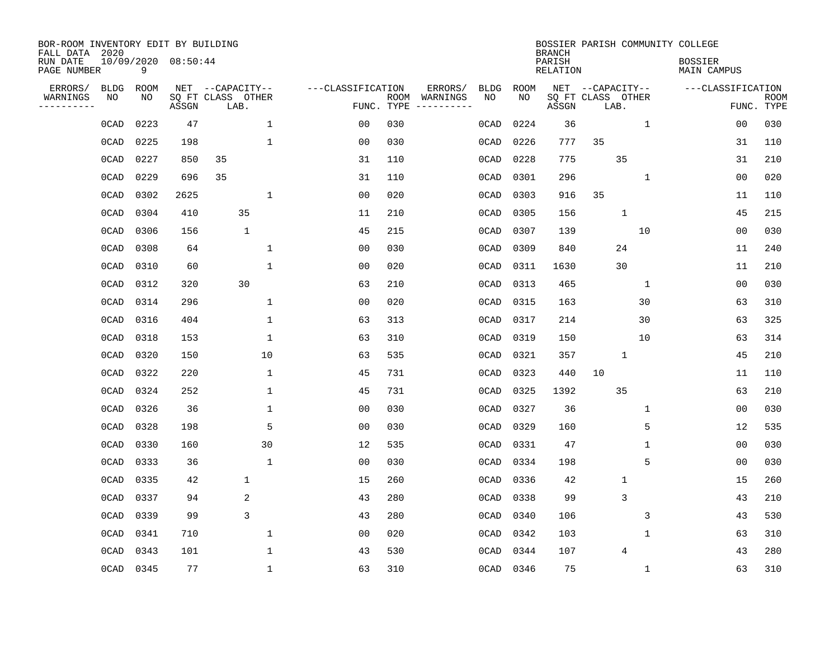| BOR-ROOM INVENTORY EDIT BY BUILDING<br>FALL DATA 2020 |             |      |                     |                           |              |                   |                    |                         |             |             | <b>BRANCH</b>             |                           |              | BOSSIER PARISH COMMUNITY COLLEGE     |                |                           |
|-------------------------------------------------------|-------------|------|---------------------|---------------------------|--------------|-------------------|--------------------|-------------------------|-------------|-------------|---------------------------|---------------------------|--------------|--------------------------------------|----------------|---------------------------|
| RUN DATE<br>PAGE NUMBER                               |             | 9    | 10/09/2020 08:50:44 |                           |              |                   |                    |                         |             |             | PARISH<br><b>RELATION</b> |                           |              | <b>BOSSIER</b><br><b>MAIN CAMPUS</b> |                |                           |
| ERRORS/                                               | <b>BLDG</b> | ROOM |                     | NET --CAPACITY--          |              | ---CLASSIFICATION |                    | ERRORS/                 | <b>BLDG</b> | <b>ROOM</b> |                           | NET --CAPACITY--          |              | ---CLASSIFICATION                    |                |                           |
| WARNINGS<br>---------                                 | NO          | NO   | ASSGN               | SQ FT CLASS OTHER<br>LAB. |              |                   | ROOM<br>FUNC. TYPE | WARNINGS<br>----------- | NO          | NO          | ASSGN                     | SQ FT CLASS OTHER<br>LAB. |              |                                      |                | <b>ROOM</b><br>FUNC. TYPE |
|                                                       | 0CAD        | 0223 | 47                  |                           | 1            | 0 <sub>0</sub>    | 030                |                         | 0CAD        | 0224        | 36                        |                           | $\mathbf{1}$ |                                      | 00             | 030                       |
|                                                       | 0CAD        | 0225 | 198                 |                           | 1            | 0 <sub>0</sub>    | 030                |                         | 0CAD        | 0226        | 777                       | 35                        |              |                                      | 31             | 110                       |
|                                                       | 0CAD        | 0227 | 850                 | 35                        |              | 31                | 110                |                         | 0CAD        | 0228        | 775                       |                           | 35           |                                      | 31             | 210                       |
|                                                       | 0CAD        | 0229 | 696                 | 35                        |              | 31                | 110                |                         | 0CAD        | 0301        | 296                       |                           | $\mathbf 1$  |                                      | 0 <sub>0</sub> | 020                       |
|                                                       | 0CAD        | 0302 | 2625                |                           | $\mathbf{1}$ | 0 <sub>0</sub>    | 020                |                         | 0CAD        | 0303        | 916                       | 35                        |              |                                      | 11             | 110                       |
|                                                       | 0CAD        | 0304 | 410                 | 35                        |              | 11                | 210                |                         | 0CAD        | 0305        | 156                       |                           | $\mathbf{1}$ |                                      | 45             | 215                       |
|                                                       | 0CAD        | 0306 | 156                 | $\mathbf{1}$              |              | 45                | 215                |                         | 0CAD        | 0307        | 139                       |                           | 10           |                                      | 0 <sub>0</sub> | 030                       |
|                                                       | 0CAD        | 0308 | 64                  |                           | $\mathbf{1}$ | 0 <sub>0</sub>    | 030                |                         | 0CAD        | 0309        | 840                       |                           | 24           |                                      | 11             | 240                       |
|                                                       | 0CAD        | 0310 | 60                  |                           | $\mathbf{1}$ | 0 <sub>0</sub>    | 020                |                         | 0CAD        | 0311        | 1630                      |                           | 30           |                                      | 11             | 210                       |
|                                                       | 0CAD        | 0312 | 320                 | 30                        |              | 63                | 210                |                         | 0CAD        | 0313        | 465                       |                           | $\mathbf{1}$ |                                      | 00             | 030                       |
|                                                       | 0CAD        | 0314 | 296                 |                           | $\mathbf{1}$ | 0 <sub>0</sub>    | 020                |                         | 0CAD        | 0315        | 163                       |                           | 30           |                                      | 63             | 310                       |
|                                                       | 0CAD        | 0316 | 404                 |                           | $\mathbf{1}$ | 63                | 313                |                         | 0CAD        | 0317        | 214                       |                           | 30           |                                      | 63             | 325                       |
|                                                       | 0CAD        | 0318 | 153                 |                           | 1            | 63                | 310                |                         | 0CAD        | 0319        | 150                       |                           | 10           |                                      | 63             | 314                       |
|                                                       | 0CAD        | 0320 | 150                 |                           | 10           | 63                | 535                |                         | 0CAD        | 0321        | 357                       |                           | $\mathbf{1}$ |                                      | 45             | 210                       |
|                                                       | 0CAD        | 0322 | 220                 |                           | 1            | 45                | 731                |                         | 0CAD        | 0323        | 440                       | 10                        |              |                                      | 11             | 110                       |
|                                                       | 0CAD        | 0324 | 252                 |                           | 1            | 45                | 731                |                         | 0CAD        | 0325        | 1392                      |                           | 35           |                                      | 63             | 210                       |
|                                                       | 0CAD        | 0326 | 36                  |                           | 1            | 0 <sub>0</sub>    | 030                |                         | 0CAD        | 0327        | 36                        |                           | 1            |                                      | 0 <sub>0</sub> | 030                       |
|                                                       | 0CAD        | 0328 | 198                 |                           | 5            | 0 <sub>0</sub>    | 030                |                         | 0CAD        | 0329        | 160                       |                           | 5            |                                      | 12             | 535                       |
|                                                       | 0CAD        | 0330 | 160                 |                           | 30           | 12                | 535                |                         | 0CAD        | 0331        | 47                        |                           | 1            |                                      | 0 <sub>0</sub> | 030                       |
|                                                       | 0CAD        | 0333 | 36                  |                           | $\mathbf{1}$ | 0 <sub>0</sub>    | 030                |                         | 0CAD        | 0334        | 198                       |                           | 5            |                                      | 0 <sub>0</sub> | 030                       |
|                                                       | 0CAD        | 0335 | 42                  | 1                         |              | 15                | 260                |                         | 0CAD        | 0336        | 42                        |                           | 1            |                                      | 15             | 260                       |
|                                                       | 0CAD        | 0337 | 94                  | 2                         |              | 43                | 280                |                         | 0CAD        | 0338        | 99                        |                           | 3            |                                      | 43             | 210                       |
|                                                       | 0CAD        | 0339 | 99                  | 3                         |              | 43                | 280                |                         | 0CAD        | 0340        | 106                       |                           | 3            |                                      | 43             | 530                       |
|                                                       | 0CAD        | 0341 | 710                 |                           | $\mathbf{1}$ | 0 <sub>0</sub>    | 020                |                         | 0CAD        | 0342        | 103                       |                           | 1            |                                      | 63             | 310                       |
|                                                       | 0CAD        | 0343 | 101                 |                           | $\mathbf{1}$ | 43                | 530                |                         | 0CAD        | 0344        | 107                       |                           | 4            |                                      | 43             | 280                       |
|                                                       | 0CAD        | 0345 | 77                  |                           | $\mathbf{1}$ | 63                | 310                |                         |             | 0CAD 0346   | 75                        |                           | 1            |                                      | 63             | 310                       |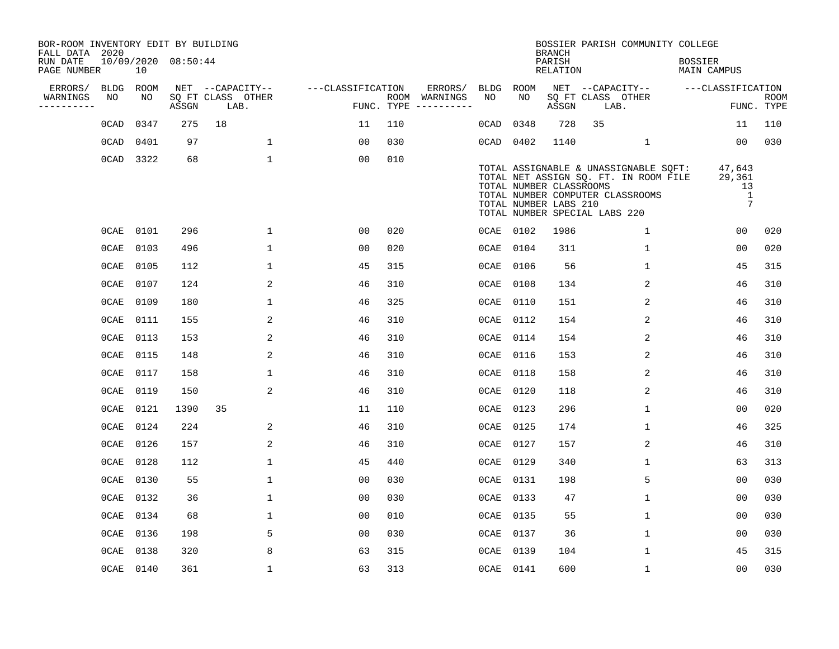| BOR-ROOM INVENTORY EDIT BY BUILDING<br>FALL DATA 2020 |         |           |                     |                           |                   |     |                                      |         |           | <b>BRANCH</b>                                    | BOSSIER PARISH COMMUNITY COLLEGE                                                                                                                    |                                                           |                           |
|-------------------------------------------------------|---------|-----------|---------------------|---------------------------|-------------------|-----|--------------------------------------|---------|-----------|--------------------------------------------------|-----------------------------------------------------------------------------------------------------------------------------------------------------|-----------------------------------------------------------|---------------------------|
| RUN DATE<br>PAGE NUMBER                               |         | 10        | 10/09/2020 08:50:44 |                           |                   |     |                                      |         |           | PARISH<br>RELATION                               |                                                                                                                                                     | <b>BOSSIER</b><br>MAIN CAMPUS                             |                           |
| ERRORS/                                               | BLDG    | ROOM      |                     | NET --CAPACITY--          | ---CLASSIFICATION |     | ERRORS/                              | BLDG    | ROOM      |                                                  | NET --CAPACITY--                                                                                                                                    | ---CLASSIFICATION                                         |                           |
| WARNINGS<br>- - - - - - - - - -                       | NO      | NO        | ASSGN               | SQ FT CLASS OTHER<br>LAB. |                   |     | ROOM WARNINGS<br>FUNC. TYPE $------$ | NO.     | NO        | ASSGN                                            | SQ FT CLASS OTHER<br>LAB.                                                                                                                           |                                                           | <b>ROOM</b><br>FUNC. TYPE |
|                                                       | 0CAD    | 0347      | 275                 | 18                        | 11                | 110 |                                      | 0CAD    | 0348      | 728                                              | 35                                                                                                                                                  | 11                                                        | 110                       |
|                                                       | 0CAD    | 0401      | 97                  | $\mathbf{1}$              | 0 <sub>0</sub>    | 030 |                                      |         | 0CAD 0402 | 1140                                             | $\mathbf{1}$                                                                                                                                        | 00                                                        | 030                       |
|                                                       |         | 0CAD 3322 | 68                  | $\mathbf{1}$              | 0 <sub>0</sub>    | 010 |                                      |         |           | TOTAL NUMBER CLASSROOMS<br>TOTAL NUMBER LABS 210 | TOTAL ASSIGNABLE & UNASSIGNABLE SQFT:<br>TOTAL NET ASSIGN SQ. FT. IN ROOM FILE<br>TOTAL NUMBER COMPUTER CLASSROOMS<br>TOTAL NUMBER SPECIAL LABS 220 | 47,643<br>29,361<br>13<br>$\mathbf{1}$<br>$7\overline{ }$ |                           |
|                                                       | 0CAE    | 0101      | 296                 | $\mathbf{1}$              | 0 <sub>0</sub>    | 020 |                                      |         | OCAE 0102 | 1986                                             | $\mathbf{1}$                                                                                                                                        | 00                                                        | 020                       |
|                                                       | 0CAE    | 0103      | 496                 | $\mathbf{1}$              | 0 <sub>0</sub>    | 020 |                                      | $0$ CAE | 0104      | 311                                              | $\mathbf 1$                                                                                                                                         | 00                                                        | 020                       |
|                                                       | 0CAE    | 0105      | 112                 | $\mathbf{1}$              | 45                | 315 |                                      | 0CAE    | 0106      | 56                                               | $\mathbf{1}$                                                                                                                                        | 45                                                        | 315                       |
|                                                       | 0 CAE   | 0107      | 124                 | 2                         | 46                | 310 |                                      | 0CAE    | 0108      | 134                                              | 2                                                                                                                                                   | 46                                                        | 310                       |
|                                                       | $0$ CAE | 0109      | 180                 | $\mathbf 1$               | 46                | 325 |                                      | $0$ CAE | 0110      | 151                                              | 2                                                                                                                                                   | 46                                                        | 310                       |
|                                                       | 0CAE    | 0111      | 155                 | 2                         | 46                | 310 |                                      | $0$ CAE | 0112      | 154                                              | 2                                                                                                                                                   | 46                                                        | 310                       |
|                                                       | $0$ CAE | 0113      | 153                 | 2                         | 46                | 310 |                                      | $0$ CAE | 0114      | 154                                              | 2                                                                                                                                                   | 46                                                        | 310                       |
|                                                       | 0CAE    | 0115      | 148                 | 2                         | 46                | 310 |                                      | $0$ CAE | 0116      | 153                                              | 2                                                                                                                                                   | 46                                                        | 310                       |
|                                                       |         | OCAE 0117 | 158                 | 1                         | 46                | 310 |                                      | $0$ CAE | 0118      | 158                                              | 2                                                                                                                                                   | 46                                                        | 310                       |
|                                                       | 0 CAE   | 0119      | 150                 | 2                         | 46                | 310 |                                      | $0$ CAE | 0120      | 118                                              | 2                                                                                                                                                   | 46                                                        | 310                       |
|                                                       | 0CAE    | 0121      | 1390                | 35                        | 11                | 110 |                                      | $0$ CAE | 0123      | 296                                              | 1                                                                                                                                                   | 0 <sub>0</sub>                                            | 020                       |
|                                                       | 0CAE    | 0124      | 224                 | 2                         | 46                | 310 |                                      | $0$ CAE | 0125      | 174                                              | 1                                                                                                                                                   | 46                                                        | 325                       |
|                                                       | $0$ CAE | 0126      | 157                 | 2                         | 46                | 310 |                                      | $0$ CAE | 0127      | 157                                              | 2                                                                                                                                                   | 46                                                        | 310                       |
|                                                       | 0CAE    | 0128      | 112                 | $\mathbf{1}$              | 45                | 440 |                                      | $0$ CAE | 0129      | 340                                              | 1                                                                                                                                                   | 63                                                        | 313                       |
|                                                       | 0CAE    | 0130      | 55                  | $\mathbf 1$               | 0 <sub>0</sub>    | 030 |                                      | $0$ CAE | 0131      | 198                                              | 5                                                                                                                                                   | 0 <sub>0</sub>                                            | 030                       |
|                                                       | 0CAE    | 0132      | 36                  | $\mathbf 1$               | 0 <sub>0</sub>    | 030 |                                      | $0$ CAE | 0133      | 47                                               | $\mathbf 1$                                                                                                                                         | 0 <sub>0</sub>                                            | 030                       |
|                                                       | 0CAE    | 0134      | 68                  | $\mathbf 1$               | 0 <sub>0</sub>    | 010 |                                      | $0$ CAE | 0135      | 55                                               | 1                                                                                                                                                   | 0 <sub>0</sub>                                            | 030                       |
|                                                       | 0 CAE   | 0136      | 198                 | 5                         | 0 <sub>0</sub>    | 030 |                                      | $0$ CAE | 0137      | 36                                               | 1                                                                                                                                                   | 0 <sub>0</sub>                                            | 030                       |
|                                                       | 0CAE    | 0138      | 320                 | 8                         | 63                | 315 |                                      | $0$ CAE | 0139      | 104                                              | $\mathbf{1}$                                                                                                                                        | 45                                                        | 315                       |
|                                                       |         | 0CAE 0140 | 361                 | $\mathbf{1}$              | 63                | 313 |                                      |         | 0CAE 0141 | 600                                              | $\mathbf{1}$                                                                                                                                        | 0 <sub>0</sub>                                            | 030                       |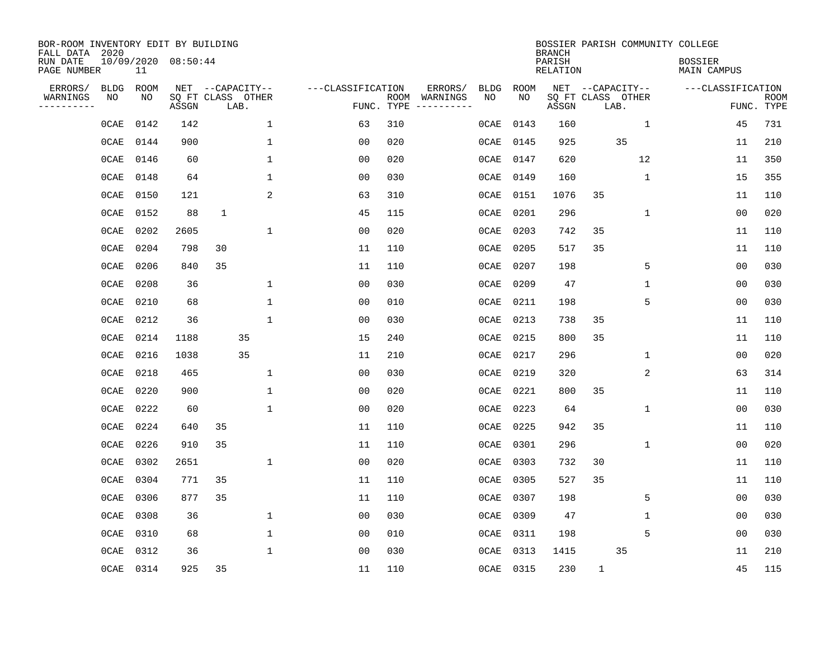| BOR-ROOM INVENTORY EDIT BY BUILDING<br>FALL DATA 2020<br>RUN DATE<br>PAGE NUMBER |             | 11        | 10/09/2020 08:50:44 |              |                           |                   |      |          |             |           | <b>BRANCH</b><br>PARISH<br><b>RELATION</b> |              |                           | BOSSIER PARISH COMMUNITY COLLEGE<br><b>BOSSIER</b><br>MAIN CAMPUS |                |                           |
|----------------------------------------------------------------------------------|-------------|-----------|---------------------|--------------|---------------------------|-------------------|------|----------|-------------|-----------|--------------------------------------------|--------------|---------------------------|-------------------------------------------------------------------|----------------|---------------------------|
| ERRORS/                                                                          | <b>BLDG</b> | ROOM      |                     |              | NET --CAPACITY--          | ---CLASSIFICATION |      | ERRORS/  | <b>BLDG</b> | ROOM      |                                            |              | NET --CAPACITY--          | ---CLASSIFICATION                                                 |                |                           |
| WARNINGS<br>---------                                                            | ΝO          | ΝO        | ASSGN               |              | SQ FT CLASS OTHER<br>LAB. | FUNC. TYPE        | ROOM | WARNINGS | NO          | NO.       | ASSGN                                      |              | SQ FT CLASS OTHER<br>LAB. |                                                                   |                | <b>ROOM</b><br>FUNC. TYPE |
|                                                                                  | $0$ CAE     | 0142      | 142                 |              | $\mathbf 1$               | 63                | 310  |          | 0CAE        | 0143      | 160                                        |              | $\mathbf{1}$              |                                                                   | 45             | 731                       |
|                                                                                  | 0CAE        | 0144      | 900                 |              | $\mathbf{1}$              | 0 <sub>0</sub>    | 020  |          | 0CAE        | 0145      | 925                                        |              | 35                        |                                                                   | 11             | 210                       |
|                                                                                  | $0$ CAE     | 0146      | 60                  |              | $\mathbf{1}$              | 00                | 020  |          | 0CAE        | 0147      | 620                                        |              | 12                        |                                                                   | 11             | 350                       |
|                                                                                  | $0$ CAE     | 0148      | 64                  |              | $\mathbf{1}$              | 0 <sub>0</sub>    | 030  |          | $0$ CAE     | 0149      | 160                                        |              | $\mathbf 1$               |                                                                   | 15             | 355                       |
|                                                                                  | 0CAE        | 0150      | 121                 |              | 2                         | 63                | 310  |          | 0CAE        | 0151      | 1076                                       | 35           |                           |                                                                   | 11             | 110                       |
|                                                                                  | $0$ CAE     | 0152      | 88                  | $\mathbf{1}$ |                           | 45                | 115  |          | $0$ CAE     | 0201      | 296                                        |              | $\mathbf 1$               |                                                                   | 0 <sub>0</sub> | 020                       |
|                                                                                  | 0CAE        | 0202      | 2605                |              | $\mathbf 1$               | 0 <sub>0</sub>    | 020  |          | 0CAE        | 0203      | 742                                        | 35           |                           |                                                                   | 11             | 110                       |
|                                                                                  | 0CAE        | 0204      | 798                 | 30           |                           | 11                | 110  |          | 0CAE        | 0205      | 517                                        | 35           |                           |                                                                   | 11             | 110                       |
|                                                                                  | 0CAE        | 0206      | 840                 | 35           |                           | 11                | 110  |          | 0CAE        | 0207      | 198                                        |              | 5                         |                                                                   | 0 <sub>0</sub> | 030                       |
|                                                                                  | 0CAE        | 0208      | 36                  |              | $\mathbf 1$               | 0 <sub>0</sub>    | 030  |          | 0CAE        | 0209      | 47                                         |              | $\mathbf 1$               |                                                                   | 0 <sub>0</sub> | 030                       |
|                                                                                  | 0CAE        | 0210      | 68                  |              | $\mathbf 1$               | 0 <sub>0</sub>    | 010  |          | $0$ CAE     | 0211      | 198                                        |              | 5                         |                                                                   | 0 <sub>0</sub> | 030                       |
|                                                                                  | 0CAE        | 0212      | 36                  |              | $\mathbf{1}$              | 0 <sub>0</sub>    | 030  |          | 0CAE        | 0213      | 738                                        | 35           |                           |                                                                   | 11             | 110                       |
|                                                                                  | 0CAE        | 0214      | 1188                |              | 35                        | 15                | 240  |          | 0CAE        | 0215      | 800                                        | 35           |                           |                                                                   | 11             | 110                       |
|                                                                                  | 0CAE        | 0216      | 1038                |              | 35                        | 11                | 210  |          | 0CAE        | 0217      | 296                                        |              | 1                         |                                                                   | 0 <sub>0</sub> | 020                       |
|                                                                                  | 0CAE        | 0218      | 465                 |              | 1                         | 0 <sub>0</sub>    | 030  |          | 0CAE        | 0219      | 320                                        |              | 2                         |                                                                   | 63             | 314                       |
|                                                                                  | $0$ CAE     | 0220      | 900                 |              | 1                         | 00                | 020  |          | 0CAE        | 0221      | 800                                        | 35           |                           |                                                                   | 11             | 110                       |
|                                                                                  | 0CAE        | 0222      | 60                  |              | $\mathbf 1$               | 0 <sub>0</sub>    | 020  |          | $0$ CAE     | 0223      | 64                                         |              | 1                         |                                                                   | 0 <sub>0</sub> | 030                       |
|                                                                                  | 0CAE        | 0224      | 640                 | 35           |                           | 11                | 110  |          | $0$ CAE     | 0225      | 942                                        | 35           |                           |                                                                   | 11             | 110                       |
|                                                                                  | 0CAE        | 0226      | 910                 | 35           |                           | 11                | 110  |          | $0$ CAE     | 0301      | 296                                        |              | 1                         |                                                                   | 0 <sub>0</sub> | 020                       |
|                                                                                  | 0CAE        | 0302      | 2651                |              | $\mathbf 1$               | 0 <sub>0</sub>    | 020  |          | 0CAE        | 0303      | 732                                        | 30           |                           |                                                                   | 11             | 110                       |
|                                                                                  | 0CAE        | 0304      | 771                 | 35           |                           | 11                | 110  |          | 0CAE        | 0305      | 527                                        | 35           |                           |                                                                   | 11             | 110                       |
|                                                                                  | 0CAE        | 0306      | 877                 | 35           |                           | 11                | 110  |          | 0CAE        | 0307      | 198                                        |              | 5                         |                                                                   | 00             | 030                       |
|                                                                                  | 0CAE        | 0308      | 36                  |              | $\mathbf 1$               | 0 <sub>0</sub>    | 030  |          | $0$ CAE     | 0309      | 47                                         |              | 1                         |                                                                   | 0 <sub>0</sub> | 030                       |
|                                                                                  | 0CAE        | 0310      | 68                  |              | $\mathbf{1}$              | 0 <sub>0</sub>    | 010  |          | 0CAE        | 0311      | 198                                        |              | 5                         |                                                                   | 0 <sub>0</sub> | 030                       |
|                                                                                  | 0CAE        | 0312      | 36                  |              | $\mathbf{1}$              | 00                | 030  |          | $0$ CAE     | 0313      | 1415                                       |              | 35                        |                                                                   | 11             | 210                       |
|                                                                                  |             | OCAE 0314 | 925                 | 35           |                           | 11                | 110  |          |             | OCAE 0315 | 230                                        | $\mathbf{1}$ |                           |                                                                   | 45             | 115                       |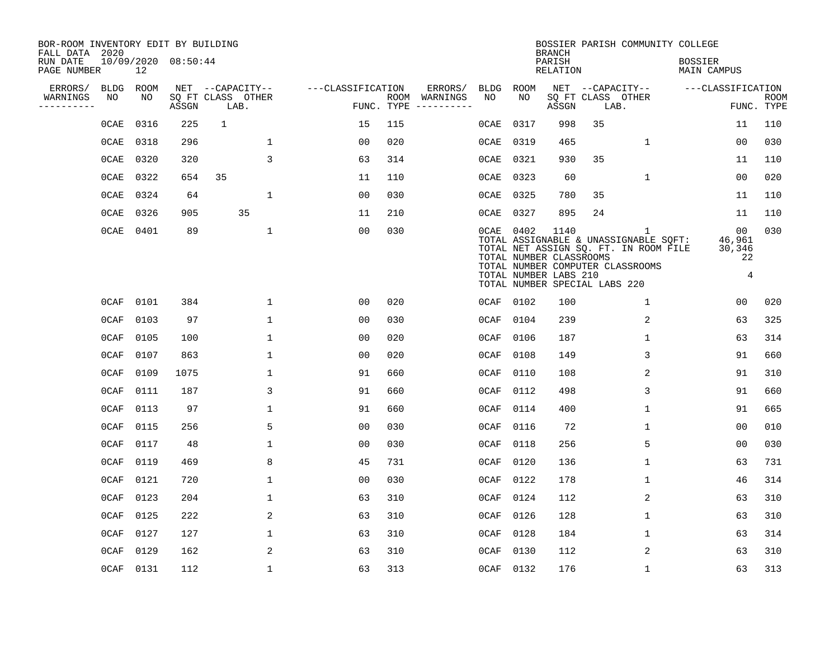| BOR-ROOM INVENTORY EDIT BY BUILDING<br>FALL DATA 2020 |         |      |                     |                           |                   |                    |          |             |                                                                                                | <b>BRANCH</b>             |    | BOSSIER PARISH COMMUNITY COLLEGE                                                                                        |                                      |                                        |                           |
|-------------------------------------------------------|---------|------|---------------------|---------------------------|-------------------|--------------------|----------|-------------|------------------------------------------------------------------------------------------------|---------------------------|----|-------------------------------------------------------------------------------------------------------------------------|--------------------------------------|----------------------------------------|---------------------------|
| RUN DATE<br>PAGE NUMBER                               |         | 12   | 10/09/2020 08:50:44 |                           |                   |                    |          |             |                                                                                                | PARISH<br><b>RELATION</b> |    |                                                                                                                         | <b>BOSSIER</b><br><b>MAIN CAMPUS</b> |                                        |                           |
| ERRORS/                                               | BLDG    | ROOM |                     | NET --CAPACITY--          | ---CLASSIFICATION |                    | ERRORS/  | <b>BLDG</b> | <b>ROOM</b>                                                                                    |                           |    | NET --CAPACITY--                                                                                                        | ---CLASSIFICATION                    |                                        |                           |
| WARNINGS<br>----------                                | NO      | NO   | ASSGN               | SQ FT CLASS OTHER<br>LAB. |                   | ROOM<br>FUNC. TYPE | WARNINGS | NO          | NO                                                                                             | ASSGN                     |    | SQ FT CLASS OTHER<br>LAB.                                                                                               |                                      |                                        | <b>ROOM</b><br>FUNC. TYPE |
|                                                       | 0CAE    | 0316 | 225                 | $\mathbf{1}$              | 15                | 115                |          | 0CAE        | 0317                                                                                           | 998                       | 35 |                                                                                                                         |                                      | 11                                     | 110                       |
|                                                       | 0CAE    | 0318 | 296                 | 1                         | 00                | 020                |          | 0CAE        | 0319                                                                                           | 465                       |    | 1                                                                                                                       |                                      | 0 <sub>0</sub>                         | 030                       |
|                                                       | 0CAE    | 0320 | 320                 | 3                         | 63                | 314                |          | 0CAE        | 0321                                                                                           | 930                       | 35 |                                                                                                                         |                                      | 11                                     | 110                       |
|                                                       | 0CAE    | 0322 | 654                 | 35                        | 11                | 110                |          | 0CAE        | 0323                                                                                           | 60                        |    | $\mathbf{1}$                                                                                                            |                                      | 0 <sub>0</sub>                         | 020                       |
|                                                       | $0$ CAE | 0324 | 64                  | $\mathbf{1}$              | 0 <sub>0</sub>    | 030                |          | 0CAE        | 0325                                                                                           | 780                       | 35 |                                                                                                                         |                                      | 11                                     | 110                       |
|                                                       | $0$ CAE | 0326 | 905                 | 35                        | 11                | 210                |          | 0CAE        | 0327                                                                                           | 895                       | 24 |                                                                                                                         |                                      | 11                                     | 110                       |
|                                                       | $0$ CAE | 0401 | 89                  | $\mathbf{1}$              | 0 <sub>0</sub>    | 030                |          |             | 0CAE 0402<br>TOTAL NUMBER CLASSROOMS<br>TOTAL NUMBER LABS 210<br>TOTAL NUMBER SPECIAL LABS 220 | 1140                      |    | 1<br>TOTAL ASSIGNABLE & UNASSIGNABLE SQFT:<br>TOTAL NET ASSIGN SQ. FT. IN ROOM FILE<br>TOTAL NUMBER COMPUTER CLASSROOMS | 46,961<br>30,346                     | 0 <sub>0</sub><br>22<br>$\overline{4}$ | 030                       |
|                                                       | $0$ CAF | 0101 | 384                 | 1                         | 0 <sub>0</sub>    | 020                |          | $0$ CAF     | 0102                                                                                           | 100                       |    | $\mathbf 1$                                                                                                             |                                      | 0 <sub>0</sub>                         | 020                       |
|                                                       | 0CAF    | 0103 | 97                  | $\mathbf{1}$              | 0 <sub>0</sub>    | 030                |          | 0CAF        | 0104                                                                                           | 239                       |    | 2                                                                                                                       |                                      | 63                                     | 325                       |
|                                                       | $0$ CAF | 0105 | 100                 | 1                         | 00                | 020                |          | 0CAF        | 0106                                                                                           | 187                       |    | 1                                                                                                                       |                                      | 63                                     | 314                       |
|                                                       | 0CAF    | 0107 | 863                 | 1                         | 00                | 020                |          | 0CAF        | 0108                                                                                           | 149                       |    | 3                                                                                                                       |                                      | 91                                     | 660                       |
|                                                       | $0$ CAF | 0109 | 1075                | 1                         | 91                | 660                |          | 0CAF        | 0110                                                                                           | 108                       |    | 2                                                                                                                       |                                      | 91                                     | 310                       |
|                                                       | 0CAF    | 0111 | 187                 | 3                         | 91                | 660                |          | 0CAF        | 0112                                                                                           | 498                       |    | 3                                                                                                                       |                                      | 91                                     | 660                       |
|                                                       | $0$ CAF | 0113 | 97                  | $\mathbf{1}$              | 91                | 660                |          | 0CAF        | 0114                                                                                           | 400                       |    | $\mathbf 1$                                                                                                             |                                      | 91                                     | 665                       |
|                                                       | $0$ CAF | 0115 | 256                 | 5                         | 0 <sub>0</sub>    | 030                |          | 0CAF        | 0116                                                                                           | 72                        |    | $\mathbf 1$                                                                                                             |                                      | 0 <sub>0</sub>                         | 010                       |
|                                                       | $0$ CAF | 0117 | 48                  | $\mathbf{1}$              | 0 <sub>0</sub>    | 030                |          | 0CAF        | 0118                                                                                           | 256                       |    | 5                                                                                                                       |                                      | 0 <sub>0</sub>                         | 030                       |
|                                                       | $0$ CAF | 0119 | 469                 | 8                         | 45                | 731                |          | 0CAF        | 0120                                                                                           | 136                       |    | 1                                                                                                                       |                                      | 63                                     | 731                       |
|                                                       | $0$ CAF | 0121 | 720                 | 1                         | 0 <sub>0</sub>    | 030                |          | 0CAF        | 0122                                                                                           | 178                       |    | $\mathbf{1}$                                                                                                            |                                      | 46                                     | 314                       |
|                                                       | $0$ CAF | 0123 | 204                 | 1                         | 63                | 310                |          | 0CAF        | 0124                                                                                           | 112                       |    | 2                                                                                                                       |                                      | 63                                     | 310                       |
|                                                       | 0CAF    | 0125 | 222                 | 2                         | 63                | 310                |          | 0CAF        | 0126                                                                                           | 128                       |    | 1                                                                                                                       |                                      | 63                                     | 310                       |
|                                                       | 0CAF    | 0127 | 127                 | $\mathbf{1}$              | 63                | 310                |          | 0CAF        | 0128                                                                                           | 184                       |    | $\mathbf{1}$                                                                                                            |                                      | 63                                     | 314                       |
|                                                       | 0CAF    | 0129 | 162                 | 2                         | 63                | 310                |          | 0CAF        | 0130                                                                                           | 112                       |    | 2                                                                                                                       |                                      | 63                                     | 310                       |
|                                                       | $0$ CAF | 0131 | 112                 | $\mathbf{1}$              | 63                | 313                |          | $0$ CAF     | 0132                                                                                           | 176                       |    | $\mathbf{1}$                                                                                                            |                                      | 63                                     | 313                       |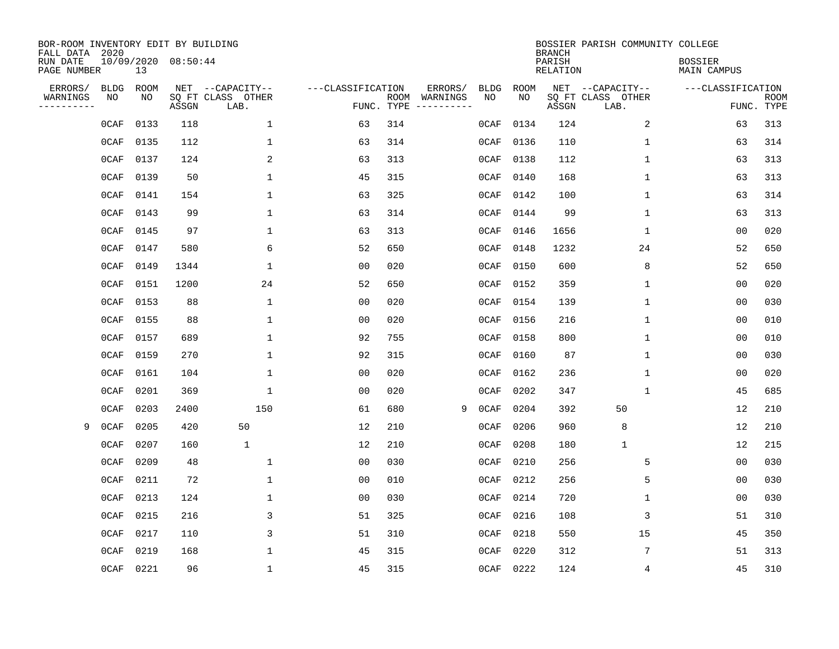| BOR-ROOM INVENTORY EDIT BY BUILDING<br>FALL DATA 2020 |             |      |                                 |                           |                   |                    |          |             |             | <b>BRANCH</b>             | BOSSIER PARISH COMMUNITY COLLEGE |                                      |                           |
|-------------------------------------------------------|-------------|------|---------------------------------|---------------------------|-------------------|--------------------|----------|-------------|-------------|---------------------------|----------------------------------|--------------------------------------|---------------------------|
| RUN DATE<br>PAGE NUMBER                               |             | 13   | 10/09/2020 08:50:44             |                           |                   |                    |          |             |             | PARISH<br><b>RELATION</b> |                                  | <b>BOSSIER</b><br><b>MAIN CAMPUS</b> |                           |
| ERRORS/                                               | <b>BLDG</b> | ROOM |                                 | NET --CAPACITY--          | ---CLASSIFICATION |                    | ERRORS/  | <b>BLDG</b> | <b>ROOM</b> |                           | NET --CAPACITY--                 | ---CLASSIFICATION                    |                           |
| WARNINGS<br>----------                                | NO          | NO   | $\operatorname{\mathsf{ASSGN}}$ | SQ FT CLASS OTHER<br>LAB. |                   | ROOM<br>FUNC. TYPE | WARNINGS | NO          | NO          | ASSGN                     | SQ FT CLASS OTHER<br>LAB.        |                                      | <b>ROOM</b><br>FUNC. TYPE |
|                                                       | 0CAF        | 0133 | 118                             | 1                         | 63                | 314                |          | 0CAF        | 0134        | 124                       | 2                                | 63                                   | 313                       |
|                                                       | $0$ CAF     | 0135 | 112                             | 1                         | 63                | 314                |          | 0CAF        | 0136        | 110                       | 1                                | 63                                   | 314                       |
|                                                       | $0$ CAF     | 0137 | 124                             | 2                         | 63                | 313                |          | 0CAF        | 0138        | 112                       | 1                                | 63                                   | 313                       |
|                                                       | 0CAF        | 0139 | 50                              | 1                         | 45                | 315                |          | 0CAF        | 0140        | 168                       | 1                                | 63                                   | 313                       |
|                                                       | 0CAF        | 0141 | 154                             | 1                         | 63                | 325                |          | 0CAF        | 0142        | 100                       | $\mathbf 1$                      | 63                                   | 314                       |
|                                                       | 0CAF        | 0143 | 99                              | 1                         | 63                | 314                |          | 0CAF        | 0144        | 99                        | $\mathbf{1}$                     | 63                                   | 313                       |
|                                                       | 0CAF        | 0145 | 97                              | 1                         | 63                | 313                |          | 0CAF        | 0146        | 1656                      | $\mathbf{1}$                     | 0 <sub>0</sub>                       | 020                       |
|                                                       | 0CAF        | 0147 | 580                             | 6                         | 52                | 650                |          | 0CAF        | 0148        | 1232                      | 24                               | 52                                   | 650                       |
|                                                       | 0CAF        | 0149 | 1344                            | 1                         | 0 <sub>0</sub>    | 020                |          | 0CAF        | 0150        | 600                       | 8                                | 52                                   | 650                       |
|                                                       | 0CAF        | 0151 | 1200                            | 24                        | 52                | 650                |          | 0CAF        | 0152        | 359                       | 1                                | 0 <sub>0</sub>                       | 020                       |
|                                                       | 0CAF        | 0153 | 88                              | 1                         | 0 <sub>0</sub>    | 020                |          | 0CAF        | 0154        | 139                       | $\mathbf{1}$                     | 0 <sub>0</sub>                       | 030                       |
|                                                       | 0CAF        | 0155 | 88                              | 1                         | 0 <sub>0</sub>    | 020                |          | 0CAF        | 0156        | 216                       | 1                                | 0 <sub>0</sub>                       | 010                       |
|                                                       | 0CAF        | 0157 | 689                             | 1                         | 92                | 755                |          | $0$ CAF     | 0158        | 800                       | 1                                | 0 <sub>0</sub>                       | 010                       |
|                                                       | 0CAF        | 0159 | 270                             | 1                         | 92                | 315                |          | 0CAF        | 0160        | 87                        | 1                                | 0 <sub>0</sub>                       | 030                       |
|                                                       | 0CAF        | 0161 | 104                             | $\mathbf 1$               | 0 <sub>0</sub>    | 020                |          | 0CAF        | 0162        | 236                       | 1                                | 0 <sub>0</sub>                       | 020                       |
|                                                       | 0CAF        | 0201 | 369                             | $\mathbf 1$               | 0 <sub>0</sub>    | 020                |          | 0CAF        | 0202        | 347                       | 1                                | 45                                   | 685                       |
|                                                       | 0CAF        | 0203 | 2400                            | 150                       | 61                | 680                |          | 9<br>0CAF   | 0204        | 392                       | 50                               | 12                                   | 210                       |
| 9                                                     | 0CAF        | 0205 | 420                             | 50                        | 12                | 210                |          | 0CAF        | 0206        | 960                       | 8                                | 12                                   | 210                       |
|                                                       | 0CAF        | 0207 | 160                             | 1                         | 12                | 210                |          | 0CAF        | 0208        | 180                       | $\mathbf{1}$                     | 12                                   | 215                       |
|                                                       | 0CAF        | 0209 | 48                              | 1                         | 0 <sub>0</sub>    | 030                |          | 0CAF        | 0210        | 256                       | 5                                | 0 <sub>0</sub>                       | 030                       |
|                                                       | 0CAF        | 0211 | 72                              | 1                         | 0 <sub>0</sub>    | 010                |          | $0$ CAF     | 0212        | 256                       | 5                                | 0 <sub>0</sub>                       | 030                       |
|                                                       | 0CAF        | 0213 | 124                             | $\mathbf{1}$              | 0 <sub>0</sub>    | 030                |          | 0CAF        | 0214        | 720                       | 1                                | 0 <sub>0</sub>                       | 030                       |
|                                                       | 0CAF        | 0215 | 216                             | 3                         | 51                | 325                |          | 0CAF        | 0216        | 108                       | 3                                | 51                                   | 310                       |
|                                                       | 0CAF        | 0217 | 110                             | 3                         | 51                | 310                |          | 0CAF        | 0218        | 550                       | 15                               | 45                                   | 350                       |
|                                                       | 0CAF        | 0219 | 168                             | 1                         | 45                | 315                |          | 0CAF        | 0220        | 312                       | 7                                | 51                                   | 313                       |
|                                                       | $0$ CAF     | 0221 | 96                              | 1                         | 45                | 315                |          | 0CAF        | 0222        | 124                       | 4                                | 45                                   | 310                       |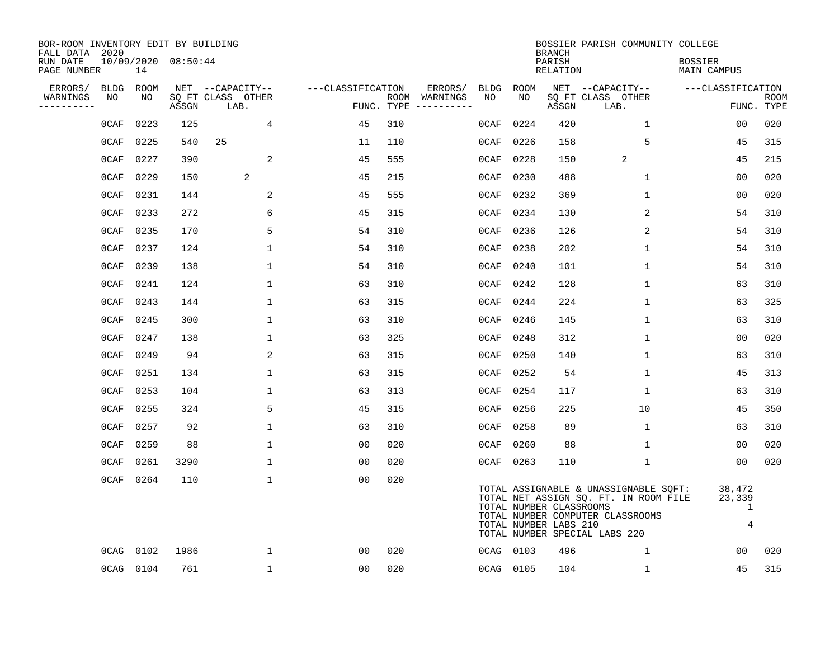| BOR-ROOM INVENTORY EDIT BY BUILDING<br>FALL DATA 2020 |             |           |                     |                           |                   |     |                                      |         |                                                  | <b>BRANCH</b>      | BOSSIER PARISH COMMUNITY COLLEGE                                                                                                                    |                                         |                           |
|-------------------------------------------------------|-------------|-----------|---------------------|---------------------------|-------------------|-----|--------------------------------------|---------|--------------------------------------------------|--------------------|-----------------------------------------------------------------------------------------------------------------------------------------------------|-----------------------------------------|---------------------------|
| RUN DATE<br>PAGE NUMBER                               |             | 14        | 10/09/2020 08:50:44 |                           |                   |     |                                      |         |                                                  | PARISH<br>RELATION |                                                                                                                                                     | <b>BOSSIER</b><br>MAIN CAMPUS           |                           |
| ERRORS/                                               | <b>BLDG</b> | ROOM      |                     | NET --CAPACITY--          | ---CLASSIFICATION |     | ERRORS/                              | BLDG    | ROOM                                             |                    | NET --CAPACITY--                                                                                                                                    | ---CLASSIFICATION                       |                           |
| WARNINGS<br>----------                                | NO          | NO.       | ASSGN               | SO FT CLASS OTHER<br>LAB. |                   |     | ROOM WARNINGS<br>FUNC. TYPE $------$ | NO      | NO.                                              | ASSGN              | SQ FT CLASS OTHER<br>LAB.                                                                                                                           |                                         | <b>ROOM</b><br>FUNC. TYPE |
|                                                       | 0CAF        | 0223      | 125                 | 4                         | 45                | 310 |                                      | 0CAF    | 0224                                             | 420                | $\mathbf{1}$                                                                                                                                        | 00                                      | 020                       |
|                                                       | 0CAF        | 0225      | 540                 | 25                        | 11                | 110 |                                      | 0CAF    | 0226                                             | 158                | 5                                                                                                                                                   | 45                                      | 315                       |
|                                                       | 0CAF        | 0227      | 390                 | 2                         | 45                | 555 |                                      | $0$ CAF | 0228                                             | 150                | 2                                                                                                                                                   | 45                                      | 215                       |
|                                                       | 0CAF        | 0229      | 150                 | 2                         | 45                | 215 |                                      | 0CAF    | 0230                                             | 488                | $\mathbf 1$                                                                                                                                         | 00                                      | 020                       |
|                                                       | 0CAF        | 0231      | 144                 | 2                         | 45                | 555 |                                      | 0CAF    | 0232                                             | 369                | $\mathbf{1}$                                                                                                                                        | 00                                      | 020                       |
|                                                       | 0CAF        | 0233      | 272                 | 6                         | 45                | 315 |                                      | $0$ CAF | 0234                                             | 130                | 2                                                                                                                                                   | 54                                      | 310                       |
|                                                       | 0CAF        | 0235      | 170                 | 5                         | 54                | 310 |                                      | 0CAF    | 0236                                             | 126                | 2                                                                                                                                                   | 54                                      | 310                       |
|                                                       | 0CAF        | 0237      | 124                 | $\mathbf{1}$              | 54                | 310 |                                      | 0CAF    | 0238                                             | 202                | $\mathbf{1}$                                                                                                                                        | 54                                      | 310                       |
|                                                       | 0CAF        | 0239      | 138                 | $\mathbf{1}$              | 54                | 310 |                                      | $0$ CAF | 0240                                             | 101                | $\mathbf 1$                                                                                                                                         | 54                                      | 310                       |
|                                                       | 0CAF        | 0241      | 124                 | $\mathbf{1}$              | 63                | 310 |                                      | 0CAF    | 0242                                             | 128                | $\mathbf{1}$                                                                                                                                        | 63                                      | 310                       |
|                                                       | 0CAF        | 0243      | 144                 | $\mathbf 1$               | 63                | 315 |                                      | 0CAF    | 0244                                             | 224                | $\mathbf 1$                                                                                                                                         | 63                                      | 325                       |
|                                                       | 0CAF        | 0245      | 300                 | $\mathbf 1$               | 63                | 310 |                                      | 0CAF    | 0246                                             | 145                | $\mathbf 1$                                                                                                                                         | 63                                      | 310                       |
|                                                       | 0CAF        | 0247      | 138                 | $\mathbf 1$               | 63                | 325 |                                      | $0$ CAF | 0248                                             | 312                | $\mathbf 1$                                                                                                                                         | 0 <sub>0</sub>                          | 020                       |
|                                                       | 0CAF        | 0249      | 94                  | 2                         | 63                | 315 |                                      | $0$ CAF | 0250                                             | 140                | 1                                                                                                                                                   | 63                                      | 310                       |
|                                                       | $0$ CAF     | 0251      | 134                 | 1                         | 63                | 315 |                                      | 0CAF    | 0252                                             | 54                 | 1                                                                                                                                                   | 45                                      | 313                       |
|                                                       | 0CAF        | 0253      | 104                 | $\mathbf{1}$              | 63                | 313 |                                      | 0CAF    | 0254                                             | 117                | 1                                                                                                                                                   | 63                                      | 310                       |
|                                                       | 0CAF        | 0255      | 324                 | 5                         | 45                | 315 |                                      | 0CAF    | 0256                                             | 225                | 10                                                                                                                                                  | 45                                      | 350                       |
|                                                       | 0CAF        | 0257      | 92                  | $\mathbf{1}$              | 63                | 310 |                                      | 0CAF    | 0258                                             | 89                 | $\mathbf 1$                                                                                                                                         | 63                                      | 310                       |
|                                                       | 0CAF        | 0259      | 88                  | 1                         | 00                | 020 |                                      | 0CAF    | 0260                                             | 88                 | 1                                                                                                                                                   | 00                                      | 020                       |
|                                                       | 0CAF        | 0261      | 3290                | $\mathbf 1$               | 0 <sub>0</sub>    | 020 |                                      | 0CAF    | 0263                                             | 110                | $\mathbf 1$                                                                                                                                         | 0 <sub>0</sub>                          | 020                       |
|                                                       | 0CAF        | 0264      | 110                 | $\mathbf{1}$              | 0 <sub>0</sub>    | 020 |                                      |         | TOTAL NUMBER CLASSROOMS<br>TOTAL NUMBER LABS 210 |                    | TOTAL ASSIGNABLE & UNASSIGNABLE SQFT:<br>TOTAL NET ASSIGN SQ. FT. IN ROOM FILE<br>TOTAL NUMBER COMPUTER CLASSROOMS<br>TOTAL NUMBER SPECIAL LABS 220 | 38,472<br>23,339<br>1<br>$\overline{4}$ |                           |
|                                                       | 0CAG        | 0102      | 1986                | $\mathbf{1}$              | 0 <sub>0</sub>    | 020 |                                      |         | 0CAG 0103                                        | 496                | $\mathbf{1}$                                                                                                                                        | 00                                      | 020                       |
|                                                       |             | 0CAG 0104 | 761                 | $\mathbf{1}$              | 00                | 020 |                                      |         | 0CAG 0105                                        | 104                | $\mathbf{1}$                                                                                                                                        | 45                                      | 315                       |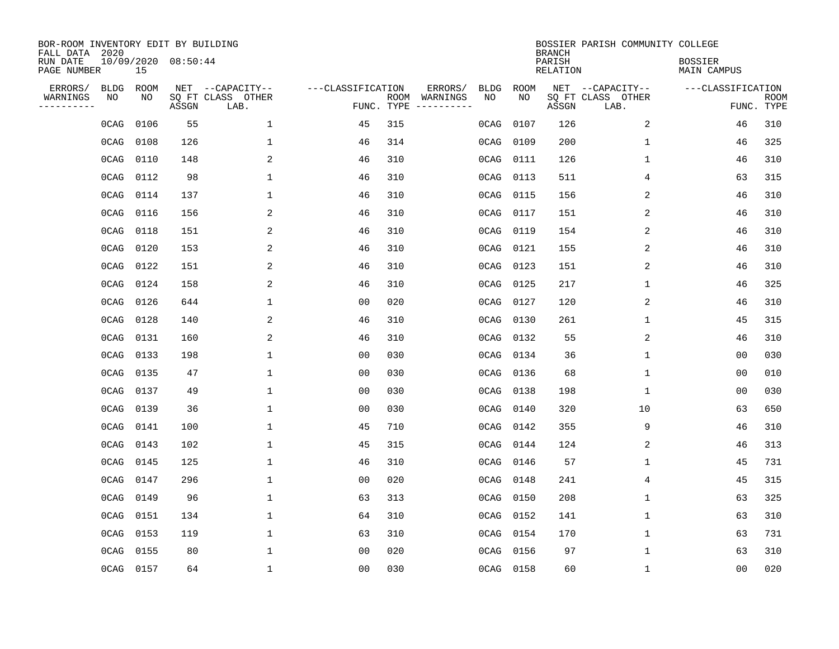| BOR-ROOM INVENTORY EDIT BY BUILDING<br>FALL DATA 2020 |      |           |                     |                           |                   |                    |          |             |             | <b>BRANCH</b>             | BOSSIER PARISH COMMUNITY COLLEGE |                               |                           |
|-------------------------------------------------------|------|-----------|---------------------|---------------------------|-------------------|--------------------|----------|-------------|-------------|---------------------------|----------------------------------|-------------------------------|---------------------------|
| RUN DATE<br>PAGE NUMBER                               |      | 15        | 10/09/2020 08:50:44 |                           |                   |                    |          |             |             | PARISH<br><b>RELATION</b> |                                  | <b>BOSSIER</b><br>MAIN CAMPUS |                           |
| ERRORS/                                               | BLDG | ROOM      |                     | NET --CAPACITY--          | ---CLASSIFICATION |                    | ERRORS/  | <b>BLDG</b> | <b>ROOM</b> |                           | NET --CAPACITY--                 | ---CLASSIFICATION             |                           |
| WARNINGS<br>----------                                | ΝO   | NO        | ASSGN               | SQ FT CLASS OTHER<br>LAB. |                   | ROOM<br>FUNC. TYPE | WARNINGS | NO          | NO          | ASSGN                     | SQ FT CLASS OTHER<br>LAB.        |                               | <b>ROOM</b><br>FUNC. TYPE |
|                                                       | 0CAG | 0106      | 55                  | 1                         | 45                | 315                |          | 0CAG        | 0107        | 126                       | 2                                | 46                            | 310                       |
|                                                       | 0CAG | 0108      | 126                 | 1                         | 46                | 314                |          | 0CAG        | 0109        | 200                       | 1                                | 46                            | 325                       |
|                                                       | 0CAG | 0110      | 148                 | 2                         | 46                | 310                |          | 0CAG        | 0111        | 126                       | 1                                | 46                            | 310                       |
|                                                       | 0CAG | 0112      | 98                  | 1                         | 46                | 310                |          | 0CAG        | 0113        | 511                       | 4                                | 63                            | 315                       |
|                                                       | 0CAG | 0114      | 137                 | 1                         | 46                | 310                |          | 0CAG        | 0115        | 156                       | 2                                | 46                            | 310                       |
|                                                       | 0CAG | 0116      | 156                 | 2                         | 46                | 310                |          | 0CAG        | 0117        | 151                       | 2                                | 46                            | 310                       |
|                                                       | 0CAG | 0118      | 151                 | 2                         | 46                | 310                |          | 0CAG        | 0119        | 154                       | 2                                | 46                            | 310                       |
|                                                       | 0CAG | 0120      | 153                 | $\overline{a}$            | 46                | 310                |          | 0CAG        | 0121        | 155                       | 2                                | 46                            | 310                       |
|                                                       | 0CAG | 0122      | 151                 | 2                         | 46                | 310                |          | 0CAG        | 0123        | 151                       | 2                                | 46                            | 310                       |
|                                                       | 0CAG | 0124      | 158                 | 2                         | 46                | 310                |          | 0CAG        | 0125        | 217                       | 1                                | 46                            | 325                       |
|                                                       | 0CAG | 0126      | 644                 | 1                         | 00                | 020                |          | 0CAG        | 0127        | 120                       | 2                                | 46                            | 310                       |
|                                                       | 0CAG | 0128      | 140                 | 2                         | 46                | 310                |          | 0CAG        | 0130        | 261                       | $\mathbf 1$                      | 45                            | 315                       |
|                                                       | 0CAG | 0131      | 160                 | 2                         | 46                | 310                |          | 0CAG        | 0132        | 55                        | 2                                | 46                            | 310                       |
|                                                       | 0CAG | 0133      | 198                 | 1                         | 0 <sub>0</sub>    | 030                |          | 0CAG        | 0134        | 36                        | 1                                | 0 <sub>0</sub>                | 030                       |
|                                                       | 0CAG | 0135      | 47                  | 1                         | 0 <sub>0</sub>    | 030                |          | 0CAG        | 0136        | 68                        | $\mathbf 1$                      | 0 <sub>0</sub>                | 010                       |
|                                                       | 0CAG | 0137      | 49                  | $\mathbf{1}$              | 0 <sub>0</sub>    | 030                |          | 0CAG        | 0138        | 198                       | $\mathbf 1$                      | 0 <sub>0</sub>                | 030                       |
|                                                       | 0CAG | 0139      | 36                  | 1                         | 0 <sub>0</sub>    | 030                |          | 0CAG        | 0140        | 320                       | 10                               | 63                            | 650                       |
|                                                       | 0CAG | 0141      | 100                 | 1                         | 45                | 710                |          | 0CAG        | 0142        | 355                       | 9                                | 46                            | 310                       |
|                                                       | 0CAG | 0143      | 102                 | 1                         | 45                | 315                |          | 0CAG        | 0144        | 124                       | 2                                | 46                            | 313                       |
|                                                       | 0CAG | 0145      | 125                 | 1                         | 46                | 310                |          | 0CAG        | 0146        | 57                        | 1                                | 45                            | 731                       |
|                                                       | 0CAG | 0147      | 296                 | 1                         | 0 <sub>0</sub>    | 020                |          | 0CAG        | 0148        | 241                       | 4                                | 45                            | 315                       |
|                                                       | 0CAG | 0149      | 96                  | 1                         | 63                | 313                |          | 0CAG        | 0150        | 208                       | $\mathbf 1$                      | 63                            | 325                       |
|                                                       | 0CAG | 0151      | 134                 | $\mathbf{1}$              | 64                | 310                |          | 0CAG        | 0152        | 141                       | $\mathbf 1$                      | 63                            | 310                       |
|                                                       | 0CAG | 0153      | 119                 | $\mathbf{1}$              | 63                | 310                |          | 0CAG        | 0154        | 170                       | $\mathbf 1$                      | 63                            | 731                       |
|                                                       | 0CAG | 0155      | 80                  | $\mathbf{1}$              | 0 <sub>0</sub>    | 020                |          | 0CAG        | 0156        | 97                        | $\mathbf 1$                      | 63                            | 310                       |
|                                                       |      | 0CAG 0157 | 64                  | $\mathbf{1}$              | 0 <sub>0</sub>    | 030                |          |             | 0CAG 0158   | 60                        | $\mathbf 1$                      | 0 <sub>0</sub>                | 020                       |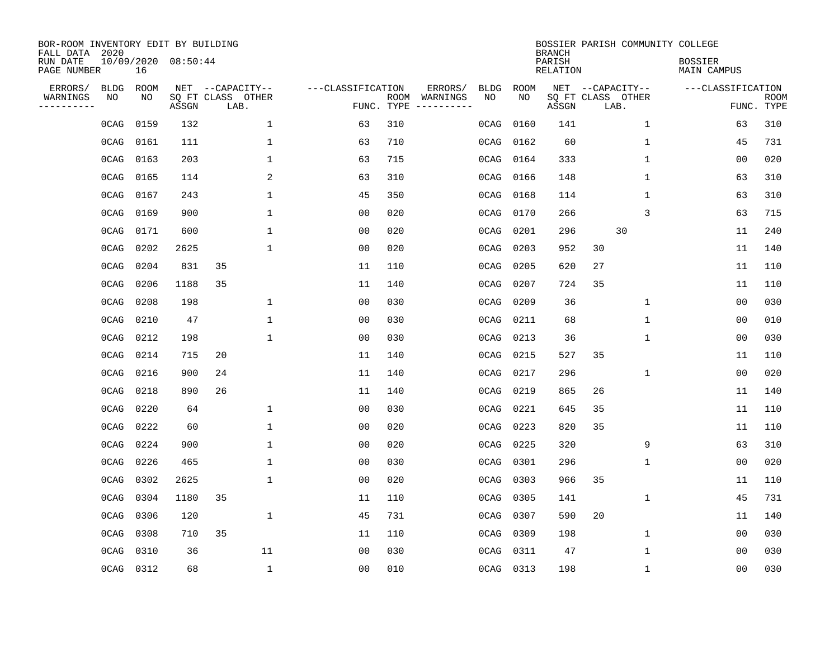| BOR-ROOM INVENTORY EDIT BY BUILDING<br>FALL DATA 2020 |             |      |                     |                           |                   |                    |                        |             |             | <b>BRANCH</b>             |    |                           | BOSSIER PARISH COMMUNITY COLLEGE |                               |                           |
|-------------------------------------------------------|-------------|------|---------------------|---------------------------|-------------------|--------------------|------------------------|-------------|-------------|---------------------------|----|---------------------------|----------------------------------|-------------------------------|---------------------------|
| RUN DATE<br>PAGE NUMBER                               |             | 16   | 10/09/2020 08:50:44 |                           |                   |                    |                        |             |             | PARISH<br><b>RELATION</b> |    |                           |                                  | <b>BOSSIER</b><br>MAIN CAMPUS |                           |
| ERRORS/                                               | <b>BLDG</b> | ROOM |                     | NET --CAPACITY--          | ---CLASSIFICATION |                    | ERRORS/                | <b>BLDG</b> | <b>ROOM</b> |                           |    | NET --CAPACITY--          |                                  | ---CLASSIFICATION             |                           |
| WARNINGS<br>-----------                               | NO          | NO   | ASSGN               | SQ FT CLASS OTHER<br>LAB. |                   | ROOM<br>FUNC. TYPE | WARNINGS<br>---------- | NO          | NO          | ASSGN                     |    | SQ FT CLASS OTHER<br>LAB. |                                  |                               | <b>ROOM</b><br>FUNC. TYPE |
|                                                       | 0CAG        | 0159 | 132                 | $\mathbf 1$               | 63                | 310                |                        | 0CAG        | 0160        | 141                       |    | $\mathbf 1$               |                                  | 63                            | 310                       |
|                                                       | 0CAG        | 0161 | 111                 | 1                         | 63                | 710                |                        | 0CAG        | 0162        | 60                        |    | 1                         |                                  | 45                            | 731                       |
|                                                       | 0CAG        | 0163 | 203                 | $\mathbf{1}$              | 63                | 715                |                        | 0CAG        | 0164        | 333                       |    | 1                         |                                  | 00                            | 020                       |
|                                                       | 0CAG        | 0165 | 114                 | 2                         | 63                | 310                |                        | 0CAG        | 0166        | 148                       |    | 1                         |                                  | 63                            | 310                       |
|                                                       | 0CAG        | 0167 | 243                 | $\mathbf 1$               | 45                | 350                |                        | 0CAG        | 0168        | 114                       |    | $\mathbf{1}$              |                                  | 63                            | 310                       |
|                                                       | 0CAG        | 0169 | 900                 | $\mathbf{1}$              | 0 <sub>0</sub>    | 020                |                        | 0CAG        | 0170        | 266                       |    | 3                         |                                  | 63                            | 715                       |
|                                                       | 0CAG        | 0171 | 600                 | $\mathbf{1}$              | 0 <sub>0</sub>    | 020                |                        | 0CAG        | 0201        | 296                       |    | 30                        |                                  | 11                            | 240                       |
|                                                       | 0CAG        | 0202 | 2625                | $\mathbf{1}$              | 0 <sub>0</sub>    | 020                |                        | 0CAG        | 0203        | 952                       | 30 |                           |                                  | 11                            | 140                       |
|                                                       | 0CAG        | 0204 | 831                 | 35                        | 11                | 110                |                        | 0CAG        | 0205        | 620                       | 27 |                           |                                  | 11                            | 110                       |
|                                                       | 0CAG        | 0206 | 1188                | 35                        | 11                | 140                |                        | 0CAG        | 0207        | 724                       | 35 |                           |                                  | 11                            | 110                       |
|                                                       | 0CAG        | 0208 | 198                 | 1                         | 0 <sub>0</sub>    | 030                |                        | 0CAG        | 0209        | 36                        |    | $\mathbf 1$               |                                  | 0 <sub>0</sub>                | 030                       |
|                                                       | 0CAG        | 0210 | 47                  | $\mathbf{1}$              | 0 <sub>0</sub>    | 030                |                        | 0CAG        | 0211        | 68                        |    | 1                         |                                  | 0 <sub>0</sub>                | 010                       |
|                                                       | 0CAG        | 0212 | 198                 | $\mathbf{1}$              | 00                | 030                |                        | 0CAG        | 0213        | 36                        |    | 1                         |                                  | 0 <sub>0</sub>                | 030                       |
|                                                       | 0CAG        | 0214 | 715                 | 20                        | 11                | 140                |                        | 0CAG        | 0215        | 527                       | 35 |                           |                                  | 11                            | 110                       |
|                                                       | 0CAG        | 0216 | 900                 | 24                        | 11                | 140                |                        | 0CAG        | 0217        | 296                       |    | 1                         |                                  | 00                            | 020                       |
|                                                       | 0CAG        | 0218 | 890                 | 26                        | 11                | 140                |                        | 0CAG        | 0219        | 865                       | 26 |                           |                                  | 11                            | 140                       |
|                                                       | 0CAG        | 0220 | 64                  | 1                         | 0 <sub>0</sub>    | 030                |                        | 0CAG        | 0221        | 645                       | 35 |                           |                                  | 11                            | 110                       |
|                                                       | 0CAG        | 0222 | 60                  | 1                         | 0 <sub>0</sub>    | 020                |                        | 0CAG        | 0223        | 820                       | 35 |                           |                                  | 11                            | 110                       |
|                                                       | 0CAG        | 0224 | 900                 | 1                         | 0 <sub>0</sub>    | 020                |                        | 0CAG        | 0225        | 320                       |    | 9                         |                                  | 63                            | 310                       |
|                                                       | 0CAG        | 0226 | 465                 | $\mathbf{1}$              | 0 <sub>0</sub>    | 030                |                        | 0CAG        | 0301        | 296                       |    | 1                         |                                  | 0 <sub>0</sub>                | 020                       |
|                                                       | 0CAG        | 0302 | 2625                | $\mathbf{1}$              | 0 <sub>0</sub>    | 020                |                        | 0CAG        | 0303        | 966                       | 35 |                           |                                  | 11                            | 110                       |
|                                                       | 0CAG        | 0304 | 1180                | 35                        | 11                | 110                |                        | 0CAG        | 0305        | 141                       |    | 1                         |                                  | 45                            | 731                       |
|                                                       | 0CAG        | 0306 | 120                 | $\mathbf{1}$              | 45                | 731                |                        | 0CAG        | 0307        | 590                       | 20 |                           |                                  | 11                            | 140                       |
|                                                       | 0CAG        | 0308 | 710                 | 35                        | 11                | 110                |                        | 0CAG        | 0309        | 198                       |    | 1                         |                                  | 00                            | 030                       |
|                                                       | 0CAG        | 0310 | 36                  | 11                        | 0 <sub>0</sub>    | 030                |                        | 0CAG        | 0311        | 47                        |    | 1                         |                                  | 00                            | 030                       |
|                                                       | 0CAG 0312   |      | 68                  | $\mathbf 1$               | 0 <sub>0</sub>    | 010                |                        |             | 0CAG 0313   | 198                       |    | 1                         |                                  | 00                            | 030                       |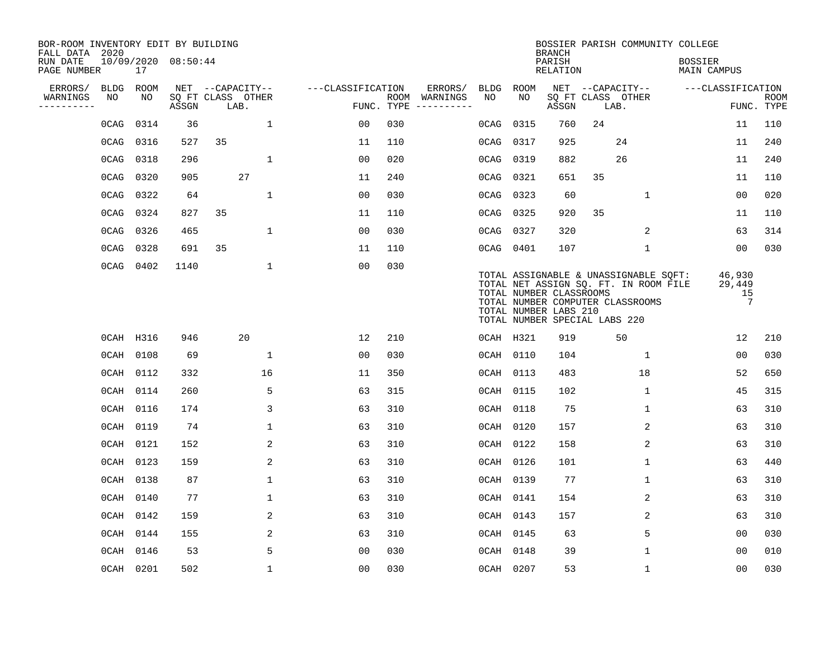| BOR-ROOM INVENTORY EDIT BY BUILDING<br>FALL DATA 2020 |             |      |                     |                           |              |                   |     |                                      |             |             | <b>BRANCH</b>                                                                     |      | BOSSIER PARISH COMMUNITY COLLEGE                                                                                   |                                      |                      |                           |
|-------------------------------------------------------|-------------|------|---------------------|---------------------------|--------------|-------------------|-----|--------------------------------------|-------------|-------------|-----------------------------------------------------------------------------------|------|--------------------------------------------------------------------------------------------------------------------|--------------------------------------|----------------------|---------------------------|
| RUN DATE<br>PAGE NUMBER                               |             | 17   | 10/09/2020 08:50:44 |                           |              |                   |     |                                      |             |             | PARISH<br>RELATION                                                                |      |                                                                                                                    | <b>BOSSIER</b><br><b>MAIN CAMPUS</b> |                      |                           |
| ERRORS/                                               | <b>BLDG</b> | ROOM |                     | NET --CAPACITY--          |              | ---CLASSIFICATION |     | ERRORS/                              | <b>BLDG</b> | <b>ROOM</b> |                                                                                   |      | NET --CAPACITY--                                                                                                   | ---CLASSIFICATION                    |                      |                           |
| WARNINGS<br>----------                                | NO          | NO   | ASSGN               | SQ FT CLASS OTHER<br>LAB. |              |                   |     | ROOM WARNINGS<br>FUNC. TYPE $------$ | NO          | NO          | ASSGN                                                                             | LAB. | SQ FT CLASS OTHER                                                                                                  |                                      |                      | <b>ROOM</b><br>FUNC. TYPE |
|                                                       | 0CAG        | 0314 | 36                  |                           | $\mathbf{1}$ | 00                | 030 |                                      | 0CAG        | 0315        | 760                                                                               | 24   |                                                                                                                    | 11                                   |                      | 110                       |
|                                                       | 0CAG        | 0316 | 527                 | 35                        |              | 11                | 110 |                                      | 0CAG        | 0317        | 925                                                                               |      | 24                                                                                                                 | 11                                   |                      | 240                       |
|                                                       | 0CAG        | 0318 | 296                 |                           | $\mathbf{1}$ | 0 <sub>0</sub>    | 020 |                                      | 0CAG        | 0319        | 882                                                                               |      | 26                                                                                                                 | 11                                   |                      | 240                       |
|                                                       | 0CAG        | 0320 | 905                 | 27                        |              | 11                | 240 |                                      | 0CAG        | 0321        | 651                                                                               | 35   |                                                                                                                    | 11                                   |                      | 110                       |
|                                                       | 0CAG        | 0322 | 64                  |                           | $\mathbf 1$  | 0 <sub>0</sub>    | 030 |                                      | 0CAG        | 0323        | 60                                                                                |      | $\mathbf 1$                                                                                                        | 00                                   |                      | 020                       |
|                                                       | 0CAG        | 0324 | 827                 | 35                        |              | 11                | 110 |                                      | 0CAG        | 0325        | 920                                                                               | 35   |                                                                                                                    | 11                                   |                      | 110                       |
|                                                       | 0CAG        | 0326 | 465                 |                           | $\mathbf 1$  | 0 <sub>0</sub>    | 030 |                                      | 0CAG        | 0327        | 320                                                                               |      | 2                                                                                                                  | 63                                   |                      | 314                       |
|                                                       | 0CAG        | 0328 | 691                 | 35                        |              | 11                | 110 |                                      | 0CAG        | 0401        | 107                                                                               |      | $\mathbf 1$                                                                                                        | 00                                   |                      | 030                       |
|                                                       | 0CAG        | 0402 | 1140                |                           | $\mathbf 1$  | 00                | 030 |                                      |             |             | TOTAL NUMBER CLASSROOMS<br>TOTAL NUMBER LABS 210<br>TOTAL NUMBER SPECIAL LABS 220 |      | TOTAL ASSIGNABLE & UNASSIGNABLE SQFT:<br>TOTAL NET ASSIGN SQ. FT. IN ROOM FILE<br>TOTAL NUMBER COMPUTER CLASSROOMS | 46,930<br>29,449                     | 15<br>$\overline{7}$ |                           |
|                                                       | OCAH H316   |      | 946                 | 20                        |              | 12                | 210 |                                      |             | OCAH H321   | 919                                                                               |      | 50                                                                                                                 | 12                                   |                      | 210                       |
|                                                       | 0CAH 0108   |      | 69                  |                           | $\mathbf{1}$ | 00                | 030 |                                      |             | 0CAH 0110   | 104                                                                               |      | 1                                                                                                                  |                                      | 0 <sub>0</sub>       | 030                       |
|                                                       | 0CAH 0112   |      | 332                 | 16                        |              | 11                | 350 |                                      |             | 0CAH 0113   | 483                                                                               |      | 18                                                                                                                 |                                      | 52                   | 650                       |
|                                                       | 0CAH 0114   |      | 260                 |                           | 5            | 63                | 315 |                                      |             | 0CAH 0115   | 102                                                                               |      | $\mathbf{1}$                                                                                                       |                                      | 45                   | 315                       |
|                                                       | 0CAH 0116   |      | 174                 |                           | 3            | 63                | 310 |                                      | $0$ CAH     | 0118        | 75                                                                                |      | 1                                                                                                                  |                                      | 63                   | 310                       |
|                                                       | 0CAH 0119   |      | 74                  |                           | $\mathbf{1}$ | 63                | 310 |                                      | 0CAH 0120   |             | 157                                                                               |      | 2                                                                                                                  |                                      | 63                   | 310                       |
|                                                       | 0CAH 0121   |      | 152                 |                           | 2            | 63                | 310 |                                      |             | 0CAH 0122   | 158                                                                               |      | 2                                                                                                                  |                                      | 63                   | 310                       |
|                                                       | 0CAH 0123   |      | 159                 |                           | 2            | 63                | 310 |                                      |             | 0CAH 0126   | 101                                                                               |      | $\mathbf 1$                                                                                                        |                                      | 63                   | 440                       |
|                                                       | 0CAH 0138   |      | 87                  |                           | $\mathbf 1$  | 63                | 310 |                                      |             | 0CAH 0139   | 77                                                                                |      | 1                                                                                                                  |                                      | 63                   | 310                       |
|                                                       | 0CAH 0140   |      | 77                  |                           | $\mathbf{1}$ | 63                | 310 |                                      | $0$ CAH     | 0141        | 154                                                                               |      | 2                                                                                                                  |                                      | 63                   | 310                       |
|                                                       | 0CAH 0142   |      | 159                 |                           | 2            | 63                | 310 |                                      |             | 0CAH 0143   | 157                                                                               |      | 2                                                                                                                  |                                      | 63                   | 310                       |
|                                                       | $0$ CAH     | 0144 | 155                 |                           | 2            | 63                | 310 |                                      |             | 0CAH 0145   | 63                                                                                |      | 5                                                                                                                  | 0 <sub>0</sub>                       |                      | 030                       |
|                                                       | $0$ CAH     | 0146 | 53                  |                           | 5            | 0 <sub>0</sub>    | 030 |                                      | 0CAH 0148   |             | 39                                                                                |      | $\mathbf{1}$                                                                                                       | 0 <sub>0</sub>                       |                      | 010                       |
|                                                       | 0CAH 0201   |      | 502                 |                           | $\mathbf{1}$ | 0 <sub>0</sub>    | 030 |                                      | 0CAH 0207   |             | 53                                                                                |      | $\mathbf 1$                                                                                                        | 00                                   |                      | 030                       |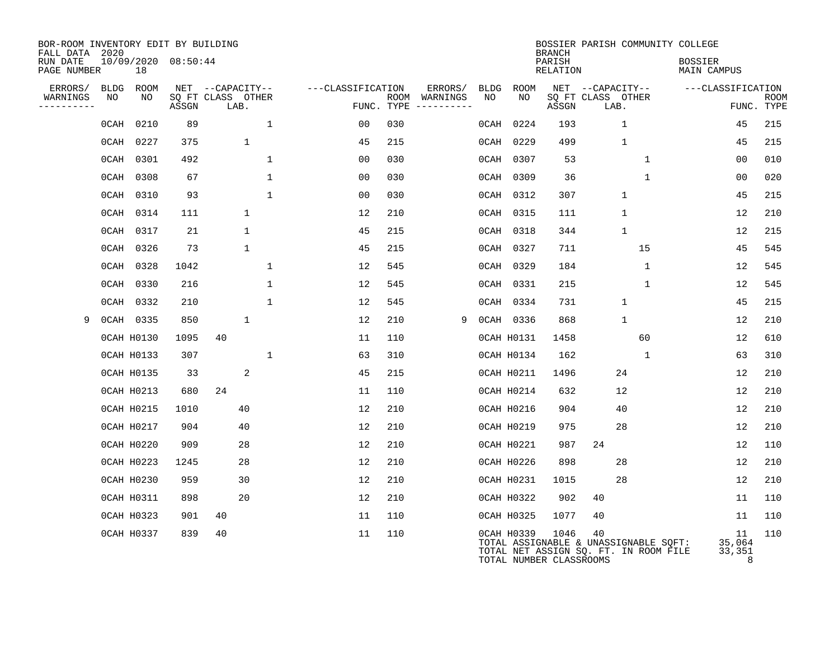| BOR-ROOM INVENTORY EDIT BY BUILDING<br>FALL DATA 2020 |             |                   |                     |                           |              |                   |     |                                      |             |                   | <b>BRANCH</b>                   |                           | BOSSIER PARISH COMMUNITY COLLEGE                                               |                               |                           |
|-------------------------------------------------------|-------------|-------------------|---------------------|---------------------------|--------------|-------------------|-----|--------------------------------------|-------------|-------------------|---------------------------------|---------------------------|--------------------------------------------------------------------------------|-------------------------------|---------------------------|
| RUN DATE<br>PAGE NUMBER                               |             | 18                | 10/09/2020 08:50:44 |                           |              |                   |     |                                      |             |                   | PARISH<br>RELATION              |                           |                                                                                | <b>BOSSIER</b><br>MAIN CAMPUS |                           |
| ERRORS/                                               | <b>BLDG</b> | ROOM              |                     | NET --CAPACITY--          |              | ---CLASSIFICATION |     | ERRORS/                              | <b>BLDG</b> | ROOM              |                                 | NET --CAPACITY--          |                                                                                | ---CLASSIFICATION             |                           |
| WARNINGS<br>---------                                 | NO          | NO                | ASSGN               | SQ FT CLASS OTHER<br>LAB. |              |                   |     | ROOM WARNINGS<br>FUNC. TYPE $------$ | NO          | NO                | ASSGN                           | SQ FT CLASS OTHER<br>LAB. |                                                                                |                               | <b>ROOM</b><br>FUNC. TYPE |
|                                                       | 0CAH        | 0210              | 89                  |                           | $\mathbf 1$  | 00                | 030 |                                      | 0CAH        | 0224              | 193                             |                           | $\mathbf{1}$                                                                   | 45                            | 215                       |
|                                                       | $0$ CAH     | 0227              | 375                 |                           | $\mathbf{1}$ | 45                | 215 |                                      | $0$ CAH     | 0229              | 499                             |                           | $\mathbf{1}$                                                                   | 45                            | 215                       |
|                                                       | $0$ CAH     | 0301              | 492                 |                           | $\mathbf{1}$ | 0 <sub>0</sub>    | 030 |                                      |             | 0CAH 0307         | 53                              |                           | $\mathbf 1$                                                                    | 0 <sub>0</sub>                | 010                       |
|                                                       | $0$ CAH     | 0308              | 67                  |                           | $\mathbf{1}$ | 0 <sub>0</sub>    | 030 |                                      | $0$ CAH     | 0309              | 36                              |                           | $\mathbf{1}$                                                                   | 0 <sub>0</sub>                | 020                       |
|                                                       | $0$ CAH     | 0310              | 93                  |                           | $\mathbf{1}$ | 0 <sub>0</sub>    | 030 |                                      |             | 0CAH 0312         | 307                             |                           | $\mathbf{1}$                                                                   | 45                            | 215                       |
|                                                       | $0$ CAH     | 0314              | 111                 |                           | $\mathbf{1}$ | 12                | 210 |                                      |             | 0CAH 0315         | 111                             |                           | $\mathbf{1}$                                                                   | 12                            | 210                       |
|                                                       | $0$ CAH     | 0317              | 21                  |                           | $\mathbf 1$  | 45                | 215 |                                      |             | 0CAH 0318         | 344                             |                           | $\mathbf{1}$                                                                   | 12                            | 215                       |
|                                                       | 0CAH        | 0326              | 73                  |                           | $\mathbf 1$  | 45                | 215 |                                      |             | 0CAH 0327         | 711                             |                           | 15                                                                             | 45                            | 545                       |
|                                                       | 0CAH        | 0328              | 1042                |                           | 1            | 12                | 545 |                                      |             | 0CAH 0329         | 184                             |                           | 1                                                                              | 12                            | 545                       |
|                                                       | $0$ CAH     | 0330              | 216                 |                           | $\mathbf 1$  | 12                | 545 |                                      |             | 0CAH 0331         | 215                             |                           | $\mathbf 1$                                                                    | 12                            | 545                       |
|                                                       | $0$ CAH     | 0332              | 210                 |                           | $\mathbf{1}$ | 12                | 545 |                                      |             | 0CAH 0334         | 731                             |                           | $\mathbf{1}$                                                                   | 45                            | 215                       |
| 9                                                     |             | 0CAH 0335         | 850                 |                           | $\mathbf{1}$ | 12                | 210 | 9                                    |             | 0CAH 0336         | 868                             |                           | $\mathbf{1}$                                                                   | 12                            | 210                       |
|                                                       |             | <b>OCAH H0130</b> | 1095                | 40                        |              | 11                | 110 |                                      |             | <b>OCAH H0131</b> | 1458                            |                           | 60                                                                             | 12                            | 610                       |
|                                                       |             | <b>OCAH H0133</b> | 307                 |                           | $\mathbf{1}$ | 63                | 310 |                                      |             | <b>OCAH H0134</b> | 162                             |                           | 1                                                                              | 63                            | 310                       |
|                                                       |             | <b>OCAH H0135</b> | 33                  |                           | 2            | 45                | 215 |                                      |             | <b>OCAH H0211</b> | 1496                            |                           | 24                                                                             | 12                            | 210                       |
|                                                       |             | <b>OCAH H0213</b> | 680                 | 24                        |              | 11                | 110 |                                      |             | OCAH H0214        | 632                             |                           | 12                                                                             | 12                            | 210                       |
|                                                       |             | <b>OCAH H0215</b> | 1010                |                           | 40           | 12                | 210 |                                      |             | <b>OCAH H0216</b> | 904                             |                           | 40                                                                             | 12                            | 210                       |
|                                                       |             | <b>OCAH H0217</b> | 904                 |                           | 40           | 12                | 210 |                                      |             | OCAH H0219        | 975                             |                           | 28                                                                             | 12                            | 210                       |
|                                                       |             | <b>OCAH H0220</b> | 909                 |                           | 28           | 12                | 210 |                                      |             | <b>OCAH H0221</b> | 987                             | 24                        |                                                                                | 12                            | 110                       |
|                                                       |             | <b>OCAH H0223</b> | 1245                |                           | 28           | 12                | 210 |                                      |             | OCAH H0226        | 898                             |                           | 28                                                                             | 12                            | 210                       |
|                                                       |             | <b>OCAH H0230</b> | 959                 |                           | 30           | 12                | 210 |                                      |             | <b>OCAH H0231</b> | 1015                            |                           | 28                                                                             | 12                            | 210                       |
|                                                       |             | <b>OCAH H0311</b> | 898                 |                           | 20           | 12                | 210 |                                      |             | OCAH H0322        | 902                             | 40                        |                                                                                | 11                            | 110                       |
|                                                       |             | <b>OCAH H0323</b> | 901                 | 40                        |              | 11                | 110 |                                      |             | OCAH H0325        | 1077                            | 40                        |                                                                                | 11                            | 110                       |
|                                                       |             | <b>OCAH H0337</b> | 839                 | 40                        |              | 11                | 110 |                                      |             | OCAH H0339        | 1046<br>TOTAL NUMBER CLASSROOMS | 40                        | TOTAL ASSIGNABLE & UNASSIGNABLE SQFT:<br>TOTAL NET ASSIGN SQ. FT. IN ROOM FILE | 11<br>35,064<br>33,351<br>8   | 110                       |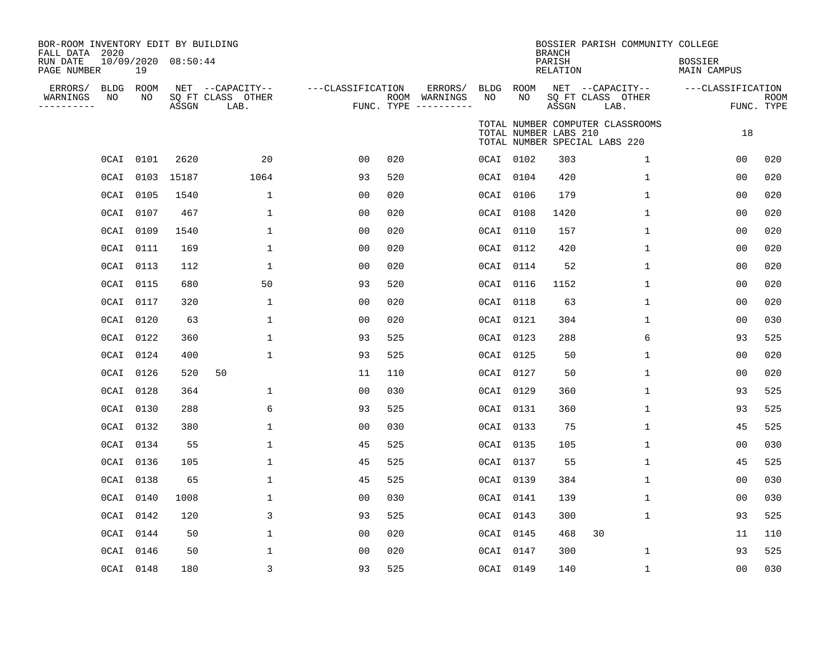| BOR-ROOM INVENTORY EDIT BY BUILDING<br>FALL DATA 2020<br>RUN DATE<br>PAGE NUMBER |         | 19              | 10/09/2020 08:50:44 |                                               |                   |     |                                                 |         |                       | <b>BRANCH</b><br>PARISH<br>RELATION | BOSSIER PARISH COMMUNITY COLLEGE                                  | <b>BOSSIER</b><br>MAIN CAMPUS |                           |
|----------------------------------------------------------------------------------|---------|-----------------|---------------------|-----------------------------------------------|-------------------|-----|-------------------------------------------------|---------|-----------------------|-------------------------------------|-------------------------------------------------------------------|-------------------------------|---------------------------|
| ERRORS/<br>WARNINGS<br>----------                                                | NO      | BLDG ROOM<br>NO | ASSGN               | NET --CAPACITY--<br>SQ FT CLASS OTHER<br>LAB. | ---CLASSIFICATION |     | ERRORS/<br>ROOM WARNINGS<br>FUNC. TYPE $------$ | NO      | BLDG ROOM<br>NO       | ASSGN                               | NET --CAPACITY--<br>SQ FT CLASS OTHER<br>LAB.                     | ---CLASSIFICATION             | <b>ROOM</b><br>FUNC. TYPE |
|                                                                                  |         |                 |                     |                                               |                   |     |                                                 |         | TOTAL NUMBER LABS 210 |                                     | TOTAL NUMBER COMPUTER CLASSROOMS<br>TOTAL NUMBER SPECIAL LABS 220 | 18                            |                           |
|                                                                                  | OCAI    | 0101            | 2620                | 20                                            | 00                | 020 |                                                 |         | 0CAI 0102             | 303                                 | $\mathbf 1$                                                       | 0 <sub>0</sub>                | 020                       |
|                                                                                  | OCAI    | 0103            | 15187               | 1064                                          | 93                | 520 |                                                 |         | 0CAI 0104             | 420                                 | $\mathbf 1$                                                       | 0 <sub>0</sub>                | 020                       |
|                                                                                  | OCAI    | 0105            | 1540                | $\mathbf{1}$                                  | 0 <sub>0</sub>    | 020 |                                                 | OCAI    | 0106                  | 179                                 | $\mathbf 1$                                                       | 0 <sub>0</sub>                | 020                       |
|                                                                                  |         | 0CAI 0107       | 467                 | $\mathbf 1$                                   | 0 <sub>0</sub>    | 020 |                                                 |         | 0CAI 0108             | 1420                                | $\mathbf 1$                                                       | 0 <sub>0</sub>                | 020                       |
|                                                                                  | OCAI    | 0109            | 1540                | 1                                             | 00                | 020 |                                                 | $0$ CAI | 0110                  | 157                                 | 1                                                                 | 00                            | 020                       |
|                                                                                  | OCAI    | 0111            | 169                 | 1                                             | 00                | 020 |                                                 |         | 0CAI 0112             | 420                                 | 1                                                                 | 0 <sub>0</sub>                | 020                       |
|                                                                                  | OCAI    | 0113            | 112                 | 1                                             | 0 <sub>0</sub>    | 020 |                                                 |         | 0CAI 0114             | 52                                  | 1                                                                 | 0 <sub>0</sub>                | 020                       |
|                                                                                  | OCAI    | 0115            | 680                 | 50                                            | 93                | 520 |                                                 |         | 0CAI 0116             | 1152                                | 1                                                                 | 0 <sub>0</sub>                | 020                       |
|                                                                                  | 0CAI    | 0117            | 320                 | $\mathbf{1}$                                  | 0 <sub>0</sub>    | 020 |                                                 |         | 0CAI 0118             | 63                                  | 1                                                                 | 0 <sub>0</sub>                | 020                       |
|                                                                                  | OCAI    | 0120            | 63                  | 1                                             | 00                | 020 |                                                 |         | 0CAI 0121             | 304                                 | 1                                                                 | 00                            | 030                       |
|                                                                                  | OCAI    | 0122            | 360                 | 1                                             | 93                | 525 |                                                 |         | 0CAI 0123             | 288                                 | 6                                                                 | 93                            | 525                       |
|                                                                                  | OCAI    | 0124            | 400                 | $\mathbf 1$                                   | 93                | 525 |                                                 |         | 0CAI 0125             | 50                                  | 1                                                                 | 0 <sub>0</sub>                | 020                       |
|                                                                                  | $0$ CAI | 0126            | 520                 | 50                                            | 11                | 110 |                                                 |         | 0CAI 0127             | 50                                  | 1                                                                 | 0 <sub>0</sub>                | 020                       |
|                                                                                  |         | 0CAI 0128       | 364                 | $\mathbf 1$                                   | 0 <sub>0</sub>    | 030 |                                                 |         | 0CAI 0129             | 360                                 | $\mathbf 1$                                                       | 93                            | 525                       |
|                                                                                  | OCAI    | 0130            | 288                 | 6                                             | 93                | 525 |                                                 |         | 0CAI 0131             | 360                                 | 1                                                                 | 93                            | 525                       |
|                                                                                  | OCAI    | 0132            | 380                 | $\mathbf{1}$                                  | 00                | 030 |                                                 |         | OCAI 0133             | 75                                  | $\mathbf{1}$                                                      | 45                            | 525                       |
|                                                                                  | OCAI    | 0134            | 55                  | 1                                             | 45                | 525 |                                                 |         | 0CAI 0135             | 105                                 | $\mathbf 1$                                                       | 00                            | 030                       |
|                                                                                  | OCAI    | 0136            | 105                 | $\mathbf 1$                                   | 45                | 525 |                                                 |         | 0CAI 0137             | 55                                  | $\mathbf{1}$                                                      | 45                            | 525                       |
|                                                                                  | OCAI    | 0138            | 65                  | $\mathbf 1$                                   | 45                | 525 |                                                 |         | 0CAI 0139             | 384                                 | $\mathbf{1}$                                                      | 0 <sub>0</sub>                | 030                       |
|                                                                                  | OCAI    | 0140            | 1008                | $\mathbf{1}$                                  | 0 <sub>0</sub>    | 030 |                                                 |         | 0CAI 0141             | 139                                 | $\mathbf{1}$                                                      | 00                            | 030                       |
|                                                                                  | OCAI    | 0142            | 120                 | 3                                             | 93                | 525 |                                                 |         | OCAI 0143             | 300                                 | $\mathbf 1$                                                       | 93                            | 525                       |
|                                                                                  | $0$ CAI | 0144            | 50                  | 1                                             | 00                | 020 |                                                 |         | 0CAI 0145             | 468                                 | 30                                                                | 11                            | 110                       |
|                                                                                  | OCAI    | 0146            | 50                  | 1                                             | 0 <sub>0</sub>    | 020 |                                                 |         | 0CAI 0147             | 300                                 | 1                                                                 | 93                            | 525                       |
|                                                                                  |         | 0CAI 0148       | 180                 | 3                                             | 93                | 525 |                                                 |         | 0CAI 0149             | 140                                 | $\mathbf 1$                                                       | 0 <sub>0</sub>                | 030                       |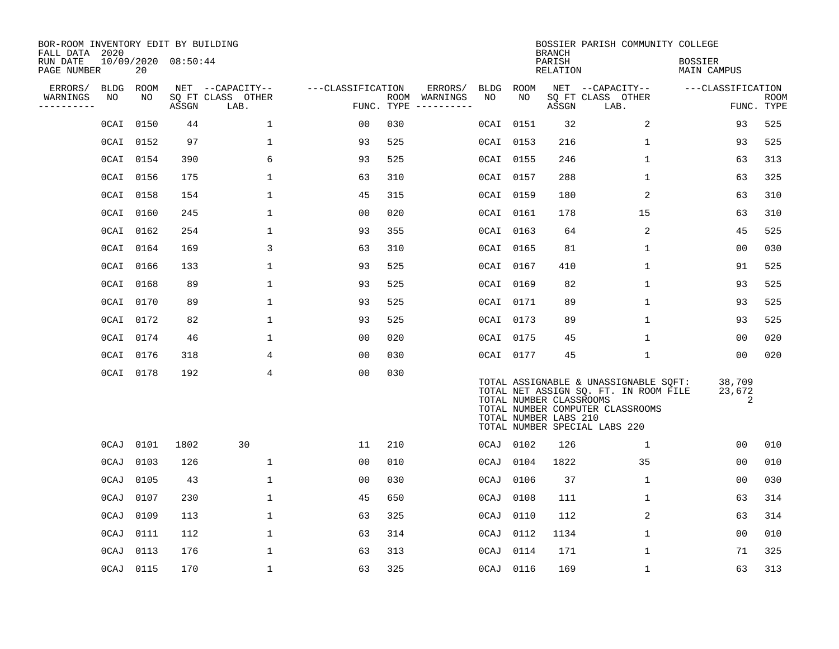| BOR-ROOM INVENTORY EDIT BY BUILDING<br>FALL DATA 2020 |           |      |                     |                           |                   |                    |          |             |                                                  | <b>BRANCH</b>      | BOSSIER PARISH COMMUNITY COLLEGE                                                                                                                    |                               |                           |
|-------------------------------------------------------|-----------|------|---------------------|---------------------------|-------------------|--------------------|----------|-------------|--------------------------------------------------|--------------------|-----------------------------------------------------------------------------------------------------------------------------------------------------|-------------------------------|---------------------------|
| RUN DATE<br>PAGE NUMBER                               |           | 20   | 10/09/2020 08:50:44 |                           |                   |                    |          |             |                                                  | PARISH<br>RELATION |                                                                                                                                                     | <b>BOSSIER</b><br>MAIN CAMPUS |                           |
| ERRORS/                                               | BLDG      | ROOM |                     | NET --CAPACITY--          | ---CLASSIFICATION |                    | ERRORS/  | <b>BLDG</b> | ROOM                                             |                    | NET --CAPACITY--                                                                                                                                    | ---CLASSIFICATION             |                           |
| WARNINGS<br>----------                                | NO        | NO   | ASSGN               | SQ FT CLASS OTHER<br>LAB. |                   | ROOM<br>FUNC. TYPE | WARNINGS | NO          | NO                                               | ASSGN              | SQ FT CLASS OTHER<br>LAB.                                                                                                                           |                               | <b>ROOM</b><br>FUNC. TYPE |
|                                                       | OCAI      | 0150 | 44                  | $\mathbf{1}$              | 00                | 030                |          | OCAI 0151   |                                                  | 32                 | 2                                                                                                                                                   | 93                            | 525                       |
|                                                       | 0CAI 0152 |      | 97                  | 1                         | 93                | 525                |          | 0CAI 0153   |                                                  | 216                | $\mathbf 1$                                                                                                                                         | 93                            | 525                       |
|                                                       | 0CAI 0154 |      | 390                 | 6                         | 93                | 525                |          | 0CAI 0155   |                                                  | 246                | $\mathbf{1}$                                                                                                                                        | 63                            | 313                       |
|                                                       | 0CAI 0156 |      | 175                 | 1                         | 63                | 310                |          | 0CAI 0157   |                                                  | 288                | 1                                                                                                                                                   | 63                            | 325                       |
|                                                       | 0CAI 0158 |      | 154                 | $\mathbf{1}$              | 45                | 315                |          | 0CAI 0159   |                                                  | 180                | 2                                                                                                                                                   | 63                            | 310                       |
|                                                       | 0CAI 0160 |      | 245                 | 1                         | 00                | 020                |          | OCAI 0161   |                                                  | 178                | 15                                                                                                                                                  | 63                            | 310                       |
|                                                       | 0CAI 0162 |      | 254                 | $\mathbf 1$               | 93                | 355                |          | 0CAI 0163   |                                                  | 64                 | 2                                                                                                                                                   | 45                            | 525                       |
|                                                       | 0CAI 0164 |      | 169                 | 3                         | 63                | 310                |          | 0CAI 0165   |                                                  | 81                 | $\mathbf 1$                                                                                                                                         | 00                            | 030                       |
|                                                       | 0CAI 0166 |      | 133                 | 1                         | 93                | 525                |          | 0CAI 0167   |                                                  | 410                | $\mathbf{1}$                                                                                                                                        | 91                            | 525                       |
|                                                       | 0CAI 0168 |      | 89                  | $\mathbf 1$               | 93                | 525                |          | 0CAI 0169   |                                                  | 82                 | $\mathbf 1$                                                                                                                                         | 93                            | 525                       |
|                                                       | 0CAI 0170 |      | 89                  | $\mathbf{1}$              | 93                | 525                |          | 0CAI 0171   |                                                  | 89                 | 1                                                                                                                                                   | 93                            | 525                       |
|                                                       | 0CAI 0172 |      | 82                  | 1                         | 93                | 525                |          | 0CAI 0173   |                                                  | 89                 | 1                                                                                                                                                   | 93                            | 525                       |
|                                                       | 0CAI 0174 |      | 46                  | $\mathbf{1}$              | 0 <sub>0</sub>    | 020                |          | 0CAI 0175   |                                                  | 45                 | 1                                                                                                                                                   | 0 <sub>0</sub>                | 020                       |
|                                                       | 0CAI 0176 |      | 318                 | 4                         | 0 <sub>0</sub>    | 030                |          | 0CAI 0177   |                                                  | 45                 | $\mathbf{1}$                                                                                                                                        | 00                            | 020                       |
|                                                       | OCAI 0178 |      | 192                 | 4                         | 0 <sub>0</sub>    | 030                |          |             | TOTAL NUMBER CLASSROOMS<br>TOTAL NUMBER LABS 210 |                    | TOTAL ASSIGNABLE & UNASSIGNABLE SQFT:<br>TOTAL NET ASSIGN SQ. FT. IN ROOM FILE<br>TOTAL NUMBER COMPUTER CLASSROOMS<br>TOTAL NUMBER SPECIAL LABS 220 | 38,709<br>23,672<br>2         |                           |
|                                                       | 0CAJ      | 0101 | 1802                | 30                        | 11                | 210                |          | 0CAJ 0102   |                                                  | 126                | $\mathbf{1}$                                                                                                                                        | 0 <sub>0</sub>                | 010                       |
|                                                       | 0CAJ      | 0103 | 126                 | 1                         | 00                | 010                |          | 0CAJ        | 0104                                             | 1822               | 35                                                                                                                                                  | 00                            | 010                       |
|                                                       | 0CAJ      | 0105 | 43                  | 1                         | 0 <sub>0</sub>    | 030                |          | 0CAJ        | 0106                                             | 37                 | $\mathbf 1$                                                                                                                                         | 0 <sub>0</sub>                | 030                       |
|                                                       | 0CAJ      | 0107 | 230                 | $\mathbf 1$               | 45                | 650                |          | 0CAJ        | 0108                                             | 111                | $\mathbf 1$                                                                                                                                         | 63                            | 314                       |
|                                                       | 0CAJ      | 0109 | 113                 | 1                         | 63                | 325                |          | 0CAJ        | 0110                                             | 112                | 2                                                                                                                                                   | 63                            | 314                       |
|                                                       | 0CAJ      | 0111 | 112                 | 1                         | 63                | 314                |          | 0CAJ        | 0112                                             | 1134               | 1                                                                                                                                                   | 0 <sub>0</sub>                | 010                       |
|                                                       | 0CAJ      | 0113 | 176                 | $\mathbf{1}$              | 63                | 313                |          | 0CAJ        | 0114                                             | 171                | $\mathbf 1$                                                                                                                                         | 71                            | 325                       |
|                                                       | 0CAJ      | 0115 | 170                 | 1                         | 63                | 325                |          | 0CAJ 0116   |                                                  | 169                | 1                                                                                                                                                   | 63                            | 313                       |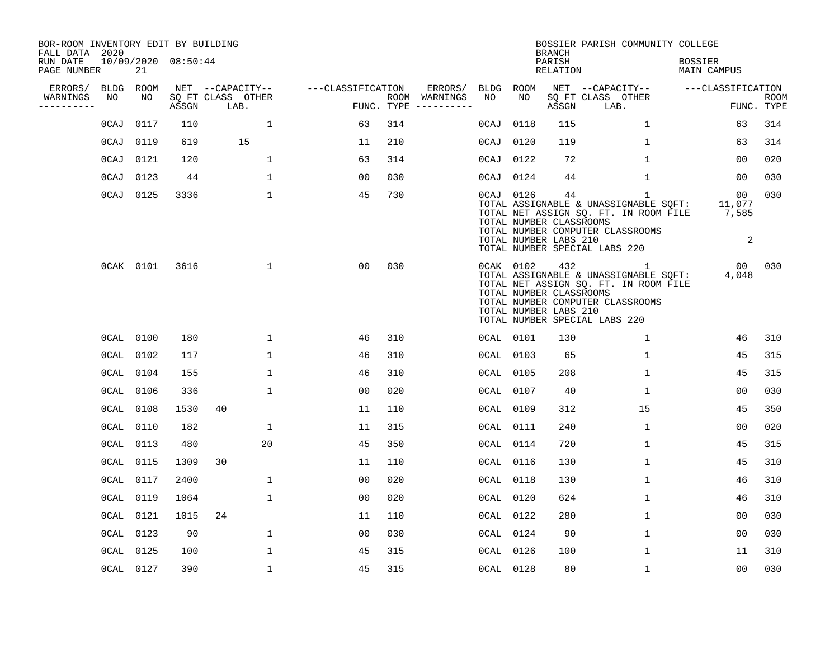| BOR-ROOM INVENTORY EDIT BY BUILDING<br>FALL DATA 2020 |           |                 |                     |                                       |                   |     |                          |            |            | <b>BRANCH</b>                                           | BOSSIER PARISH COMMUNITY COLLEGE                                                                                                                                    |                                         |             |
|-------------------------------------------------------|-----------|-----------------|---------------------|---------------------------------------|-------------------|-----|--------------------------|------------|------------|---------------------------------------------------------|---------------------------------------------------------------------------------------------------------------------------------------------------------------------|-----------------------------------------|-------------|
| RUN DATE<br>PAGE NUMBER                               |           | 21              | 10/09/2020 08:50:44 |                                       |                   |     |                          |            |            | PARISH<br>RELATION                                      |                                                                                                                                                                     | <b>BOSSIER</b><br><b>MAIN CAMPUS</b>    |             |
| ERRORS/<br>WARNINGS                                   | NO        | BLDG ROOM<br>NO |                     | NET --CAPACITY--<br>SO FT CLASS OTHER | ---CLASSIFICATION |     | ERRORS/<br>ROOM WARNINGS | BLDG<br>NO | ROOM<br>NO |                                                         | NET --CAPACITY--<br>SQ FT CLASS OTHER                                                                                                                               | ---CLASSIFICATION                       | <b>ROOM</b> |
| ----------                                            |           |                 | ASSGN               | LAB.                                  |                   |     | FUNC. TYPE $------$      |            |            | ASSGN                                                   | LAB.                                                                                                                                                                |                                         | FUNC. TYPE  |
|                                                       | 0CAJ      | 0117            | 110                 | $\mathbf 1$                           | 63                | 314 |                          | 0CAJ       | 0118       | 115                                                     | $\mathbf 1$                                                                                                                                                         | 63                                      | 314         |
|                                                       | $0$ CAJ   | 0119            | 619                 | 15                                    | 11                | 210 |                          | 0CAJ       | 0120       | 119                                                     | $\mathbf{1}$                                                                                                                                                        | 63                                      | 314         |
|                                                       | 0CAJ      | 0121            | 120                 | 1                                     | 63                | 314 |                          |            | OCAJ 0122  | 72                                                      | 1                                                                                                                                                                   | 00                                      | 020         |
|                                                       | 0CAJ      | 0123            | 44                  | $\mathbf 1$                           | 00                | 030 |                          |            | 0CAJ 0124  | 44                                                      | $\mathbf 1$                                                                                                                                                         | 00                                      | 030         |
|                                                       | $0$ CAJ   | 0125            | 3336                | $\mathbf{1}$                          | 45                | 730 |                          |            | 0CAJ 0126  | 44<br>TOTAL NUMBER CLASSROOMS<br>TOTAL NUMBER LABS 210  | $\mathbf{1}$<br>TOTAL ASSIGNABLE & UNASSIGNABLE SQFT:<br>TOTAL NET ASSIGN SQ. FT. IN ROOM FILE<br>TOTAL NUMBER COMPUTER CLASSROOMS<br>TOTAL NUMBER SPECIAL LABS 220 | 00 <sub>o</sub><br>11,077<br>7,585<br>2 | 030         |
|                                                       |           | 0CAK 0101       | 3616                | $\mathbf{1}$                          | 00                | 030 |                          |            | 0CAK 0102  | 432<br>TOTAL NUMBER CLASSROOMS<br>TOTAL NUMBER LABS 210 | $\mathbf{1}$<br>TOTAL ASSIGNABLE & UNASSIGNABLE SOFT:<br>TOTAL NET ASSIGN SQ. FT. IN ROOM FILE<br>TOTAL NUMBER COMPUTER CLASSROOMS<br>TOTAL NUMBER SPECIAL LABS 220 | 00<br>4,048                             | 030         |
|                                                       |           | OCAL 0100       | 180                 | 1                                     | 46                | 310 |                          |            | OCAL 0101  | 130                                                     | $\mathbf{1}$                                                                                                                                                        | 46                                      | 310         |
|                                                       | OCAL      | 0102            | 117                 | $\mathbf 1$                           | 46                | 310 |                          |            | OCAL 0103  | 65                                                      | 1                                                                                                                                                                   | 45                                      | 315         |
|                                                       |           | OCAL 0104       | 155                 | $\mathbf{1}$                          | 46                | 310 |                          |            | OCAL 0105  | 208                                                     | 1                                                                                                                                                                   | 45                                      | 315         |
|                                                       |           | OCAL 0106       | 336                 | $\mathbf{1}$                          | 0 <sub>0</sub>    | 020 |                          |            | OCAL 0107  | 40                                                      | $\mathbf 1$                                                                                                                                                         | 00                                      | 030         |
|                                                       | $0$ CAL   | 0108            | 1530                | 40                                    | 11                | 110 |                          |            | OCAL 0109  | 312                                                     | 15                                                                                                                                                                  | 45                                      | 350         |
|                                                       | $0$ CAL   | 0110            | 182                 | $\mathbf 1$                           | 11                | 315 |                          |            | OCAL 0111  | 240                                                     | $\mathbf 1$                                                                                                                                                         | 00                                      | 020         |
|                                                       |           | OCAL 0113       | 480                 | 20                                    | 45                | 350 |                          |            | OCAL 0114  | 720                                                     | 1                                                                                                                                                                   | 45                                      | 315         |
|                                                       |           | OCAL 0115       | 1309                | 30                                    | 11                | 110 |                          |            | OCAL 0116  | 130                                                     | $\mathbf{1}$                                                                                                                                                        | 45                                      | 310         |
|                                                       | OCAL 0117 |                 | 2400                | $\mathbf 1$                           | 0 <sub>0</sub>    | 020 |                          |            | OCAL 0118  | 130                                                     | $\mathbf 1$                                                                                                                                                         | 46                                      | 310         |
|                                                       | OCAL 0119 |                 | 1064                | $\mathbf{1}$                          | 00                | 020 |                          |            | OCAL 0120  | 624                                                     | $\mathbf{1}$                                                                                                                                                        | 46                                      | 310         |
|                                                       | OCAL 0121 |                 | 1015                | 24                                    | 11                | 110 |                          |            | OCAL 0122  | 280                                                     | 1                                                                                                                                                                   | 00                                      | 030         |
|                                                       |           | OCAL 0123       | 90                  | $\mathbf 1$                           | 0 <sub>0</sub>    | 030 |                          |            | OCAL 0124  | 90                                                      | $\mathbf 1$                                                                                                                                                         | 0 <sub>0</sub>                          | 030         |
|                                                       | OCAL 0125 |                 | 100                 | $\mathbf{1}$                          | 45                | 315 |                          |            | OCAL 0126  | 100                                                     | $\mathbf 1$                                                                                                                                                         | 11                                      | 310         |
|                                                       |           | OCAL 0127       | 390                 | $\mathbf{1}$                          | 45                | 315 |                          |            | OCAL 0128  | 80                                                      | $\mathbf{1}$                                                                                                                                                        | 0 <sub>0</sub>                          | 030         |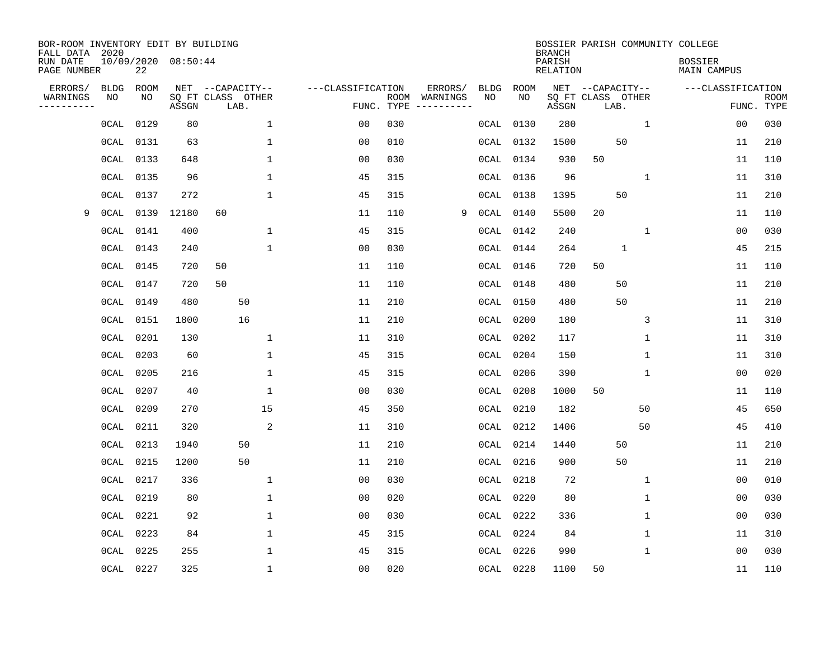| BOR-ROOM INVENTORY EDIT BY BUILDING<br>FALL DATA 2020 |             |           |                     |                           |                   |                    |                        |             |             | <b>BRANCH</b>             |      |                   | BOSSIER PARISH COMMUNITY COLLEGE     |                |                           |
|-------------------------------------------------------|-------------|-----------|---------------------|---------------------------|-------------------|--------------------|------------------------|-------------|-------------|---------------------------|------|-------------------|--------------------------------------|----------------|---------------------------|
| RUN DATE<br>PAGE NUMBER                               |             | 22        | 10/09/2020 08:50:44 |                           |                   |                    |                        |             |             | PARISH<br><b>RELATION</b> |      |                   | <b>BOSSIER</b><br><b>MAIN CAMPUS</b> |                |                           |
| ERRORS/                                               | <b>BLDG</b> | ROOM      |                     | NET --CAPACITY--          | ---CLASSIFICATION |                    | ERRORS/                | <b>BLDG</b> | <b>ROOM</b> |                           |      | NET --CAPACITY--  | ---CLASSIFICATION                    |                |                           |
| WARNINGS<br>-----------                               | NO          | NO        | ASSGN               | SQ FT CLASS OTHER<br>LAB. |                   | ROOM<br>FUNC. TYPE | WARNINGS<br>---------- | NO          | NO          | ASSGN                     | LAB. | SQ FT CLASS OTHER |                                      |                | <b>ROOM</b><br>FUNC. TYPE |
|                                                       | 0CAL        | 0129      | 80                  | $\mathbf{1}$              | 00                | 030                |                        | 0CAL        | 0130        | 280                       |      | 1                 |                                      | 00             | 030                       |
|                                                       | 0CAL        | 0131      | 63                  | 1                         | 00                | 010                |                        | 0CAL        | 0132        | 1500                      |      | 50                |                                      | 11             | 210                       |
|                                                       | OCAL        | 0133      | 648                 | 1                         | 00                | 030                |                        | OCAL        | 0134        | 930                       | 50   |                   |                                      | 11             | 110                       |
|                                                       | 0CAL        | 0135      | 96                  | 1                         | 45                | 315                |                        | 0CAL        | 0136        | 96                        |      | 1                 |                                      | 11             | 310                       |
|                                                       | $0$ CAL     | 0137      | 272                 | $\mathbf{1}$              | 45                | 315                |                        | $0$ CAL     | 0138        | 1395                      |      | 50                |                                      | 11             | 210                       |
| 9                                                     | $0$ CAL     | 0139      | 12180               | 60                        | 11                | 110                | 9                      | 0CAL        | 0140        | 5500                      | 20   |                   |                                      | 11             | 110                       |
|                                                       | $0$ CAL     | 0141      | 400                 | $\mathbf{1}$              | 45                | 315                |                        | 0CAL        | 0142        | 240                       |      | $\mathbf{1}$      |                                      | 0 <sub>0</sub> | 030                       |
|                                                       | $0$ CAL     | 0143      | 240                 | $\mathbf{1}$              | 0 <sub>0</sub>    | 030                |                        | $0$ CAL     | 0144        | 264                       |      | $\mathbf{1}$      |                                      | 45             | 215                       |
|                                                       | $0$ CAL     | 0145      | 720                 | 50                        | 11                | 110                |                        | 0CAL        | 0146        | 720                       | 50   |                   |                                      | 11             | 110                       |
|                                                       | OCAL        | 0147      | 720                 | 50                        | 11                | 110                |                        | OCAL        | 0148        | 480                       |      | 50                |                                      | 11             | 210                       |
|                                                       | OCAL        | 0149      | 480                 | 50                        | 11                | 210                |                        | OCAL        | 0150        | 480                       |      | 50                |                                      | 11             | 210                       |
|                                                       | $0$ CAL     | 0151      | 1800                | 16                        | 11                | 210                |                        | $0$ CAL     | 0200        | 180                       |      | 3                 |                                      | 11             | 310                       |
|                                                       | $0$ CAL     | 0201      | 130                 | 1                         | 11                | 310                |                        | $0$ CAL     | 0202        | 117                       |      | 1                 |                                      | 11             | 310                       |
|                                                       | 0CAL        | 0203      | 60                  | 1                         | 45                | 315                |                        | 0CAL        | 0204        | 150                       |      | 1                 |                                      | 11             | 310                       |
|                                                       | $0$ CAL     | 0205      | 216                 | 1                         | 45                | 315                |                        | $0$ CAL     | 0206        | 390                       |      | 1                 |                                      | 0 <sub>0</sub> | 020                       |
|                                                       | $0$ CAL     | 0207      | 40                  | $\mathbf{1}$              | 0 <sub>0</sub>    | 030                |                        | 0CAL        | 0208        | 1000                      | 50   |                   |                                      | 11             | 110                       |
|                                                       | 0CAL        | 0209      | 270                 | 15                        | 45                | 350                |                        | 0CAL        | 0210        | 182                       |      | 50                |                                      | 45             | 650                       |
|                                                       | 0CAL        | 0211      | 320                 | $\overline{c}$            | 11                | 310                |                        | 0CAL        | 0212        | 1406                      |      | 50                |                                      | 45             | 410                       |
|                                                       | $0$ CAL     | 0213      | 1940                | 50                        | 11                | 210                |                        | OCAL        | 0214        | 1440                      |      | 50                |                                      | 11             | 210                       |
|                                                       | $0$ CAL     | 0215      | 1200                | 50                        | 11                | 210                |                        | $0$ CAL     | 0216        | 900                       |      | 50                |                                      | 11             | 210                       |
|                                                       | $0$ CAL     | 0217      | 336                 | $\mathbf{1}$              | 0 <sub>0</sub>    | 030                |                        | 0CAL        | 0218        | 72                        |      | 1                 |                                      | 00             | 010                       |
|                                                       | $0$ CAL     | 0219      | 80                  | 1                         | 0 <sub>0</sub>    | 020                |                        | $0$ CAL     | 0220        | 80                        |      | 1                 |                                      | 00             | 030                       |
|                                                       | $0$ CAL     | 0221      | 92                  | 1                         | 0 <sub>0</sub>    | 030                |                        | 0CAL        | 0222        | 336                       |      | 1                 |                                      | 0 <sub>0</sub> | 030                       |
|                                                       | $0$ CAL     | 0223      | 84                  | 1                         | 45                | 315                |                        | $0$ CAL     | 0224        | 84                        |      | $\mathbf 1$       |                                      | 11             | 310                       |
|                                                       | $0$ CAL     | 0225      | 255                 | 1                         | 45                | 315                |                        | 0CAL        | 0226        | 990                       |      | $\mathbf{1}$      |                                      | 0 <sub>0</sub> | 030                       |
|                                                       |             | OCAL 0227 | 325                 | $\mathbf{1}$              | 0 <sub>0</sub>    | 020                |                        |             | OCAL 0228   | 1100                      | 50   |                   |                                      | 11             | 110                       |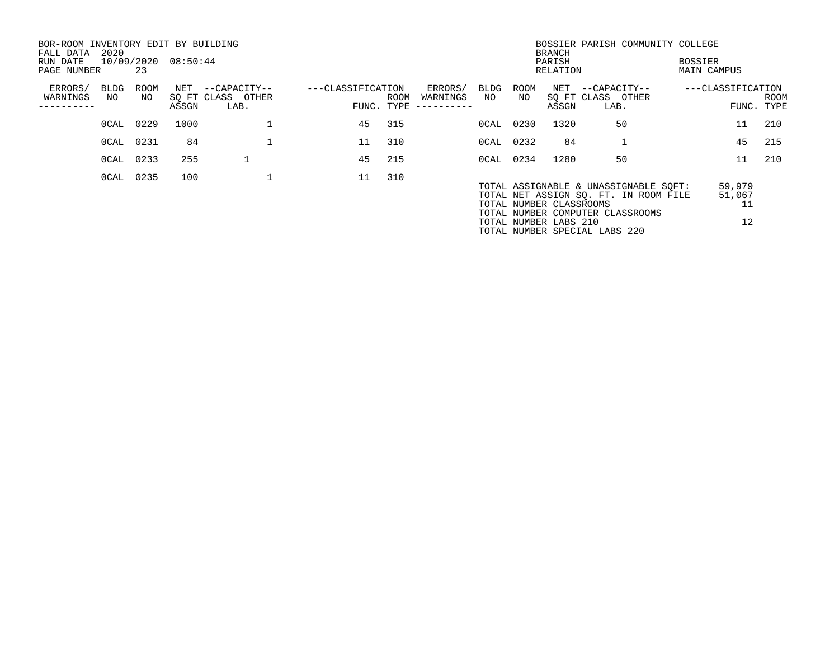| BOR-ROOM INVENTORY EDIT BY BUILDING<br>FALL DATA | 2020       |            |                     |                                       |                   |      |                     |            |            | <b>BRANCH</b>                                    | BOSSIER PARISH COMMUNITY COLLEGE                                                                                                                    |                               |                              |             |
|--------------------------------------------------|------------|------------|---------------------|---------------------------------------|-------------------|------|---------------------|------------|------------|--------------------------------------------------|-----------------------------------------------------------------------------------------------------------------------------------------------------|-------------------------------|------------------------------|-------------|
| RUN DATE<br>PAGE NUMBER                          |            | 23         | 10/09/2020 08:50:44 |                                       |                   |      |                     |            |            | PARISH<br>RELATION                               |                                                                                                                                                     | BOSSIER<br><b>MAIN CAMPUS</b> |                              |             |
| ERRORS/<br>WARNINGS                              | BLDG<br>NO | ROOM<br>NO |                     | NET --CAPACITY--<br>SQ FT CLASS OTHER | ---CLASSIFICATION | ROOM | ERRORS/<br>WARNINGS | BLDG<br>NO | ROOM<br>NO |                                                  | NET --CAPACITY--<br>SQ FT CLASS OTHER                                                                                                               | ---CLASSIFICATION             |                              | <b>ROOM</b> |
|                                                  |            |            | ASSGN               | LAB.                                  | FUNC. TYPE        |      | ----------          |            |            | ASSGN                                            | LAB.                                                                                                                                                |                               | FUNC. TYPE                   |             |
|                                                  | OCAL       | 0229       | 1000                |                                       | 45                | 315  |                     | OCAL 0230  |            | 1320                                             | 50                                                                                                                                                  |                               | 11                           | 210         |
|                                                  | OCAL 0231  |            | 84                  |                                       | 11                | 310  |                     | 0CAL 0232  |            | 84                                               |                                                                                                                                                     |                               | 45                           | 215         |
|                                                  | OCAL       | 0233       | 255                 |                                       | 45                | 215  |                     | OCAL 0234  |            | 1280                                             | 50                                                                                                                                                  |                               | 11                           | 210         |
|                                                  |            | OCAL 0235  | 100                 |                                       | 11                | 310  |                     |            |            | TOTAL NUMBER CLASSROOMS<br>TOTAL NUMBER LABS 210 | TOTAL ASSIGNABLE & UNASSIGNABLE SOFT:<br>TOTAL NET ASSIGN SQ. FT. IN ROOM FILE<br>TOTAL NUMBER COMPUTER CLASSROOMS<br>TOTAL NUMBER SPECIAL LABS 220 |                               | 59,979<br>51,067<br>11<br>12 |             |